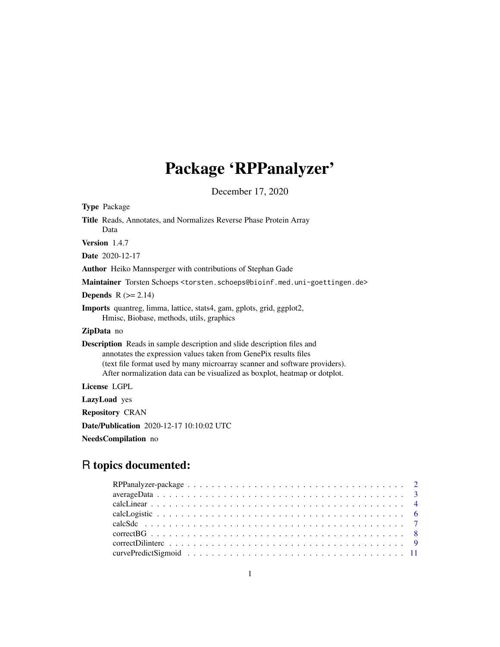# Package 'RPPanalyzer'

December 17, 2020

<span id="page-0-0"></span>

| <b>Type Package</b>                                                                                                                                                                                                                                                                                                            |
|--------------------------------------------------------------------------------------------------------------------------------------------------------------------------------------------------------------------------------------------------------------------------------------------------------------------------------|
| Title Reads, Annotates, and Normalizes Reverse Phase Protein Array<br>Data                                                                                                                                                                                                                                                     |
| Version 1.4.7                                                                                                                                                                                                                                                                                                                  |
| <b>Date</b> 2020-12-17                                                                                                                                                                                                                                                                                                         |
| Author Heiko Mannsperger with contributions of Stephan Gade                                                                                                                                                                                                                                                                    |
| Maintainer Torsten Schoeps <torsten.schoeps@bioinf.med.uni-goettingen.de></torsten.schoeps@bioinf.med.uni-goettingen.de>                                                                                                                                                                                                       |
| <b>Depends</b> $R (= 2.14)$                                                                                                                                                                                                                                                                                                    |
| <b>Imports</b> quantreg, limma, lattice, stats4, gam, gplots, grid, ggplot2,<br>Hmisc, Biobase, methods, utils, graphics                                                                                                                                                                                                       |
| <b>ZipData</b> no                                                                                                                                                                                                                                                                                                              |
| <b>Description</b> Reads in sample description and slide description files and<br>annotates the expression values taken from GenePix results files<br>(text file format used by many microarray scanner and software providers).<br>After normalization data can be visualized as boxplot, heatmap or dotplot.<br>License LGPL |
|                                                                                                                                                                                                                                                                                                                                |
| <b>LazyLoad</b> yes                                                                                                                                                                                                                                                                                                            |
| <b>Repository CRAN</b>                                                                                                                                                                                                                                                                                                         |
| Date/Publication 2020-12-17 10:10:02 UTC                                                                                                                                                                                                                                                                                       |
| NeedsCompilation no                                                                                                                                                                                                                                                                                                            |
| R topics documented:                                                                                                                                                                                                                                                                                                           |
| $\overline{2}$<br>3<br>4<br>6                                                                                                                                                                                                                                                                                                  |

calcSdc . . . . . . . . . . . . . . . . . . . . . . . . . . . . . . . . . . . . . . . . . . . [7](#page-6-0) correctBG . . . . . . . . . . . . . . . . . . . . . . . . . . . . . . . . . . . . . . . . . . [8](#page-7-0) correctDilinterc . . . . . . . . . . . . . . . . . . . . . . . . . . . . . . . . . . . . . . . [9](#page-8-0) curvePredictSigmoid . . . . . . . . . . . . . . . . . . . . . . . . . . . . . . . . . . . . [11](#page-10-0)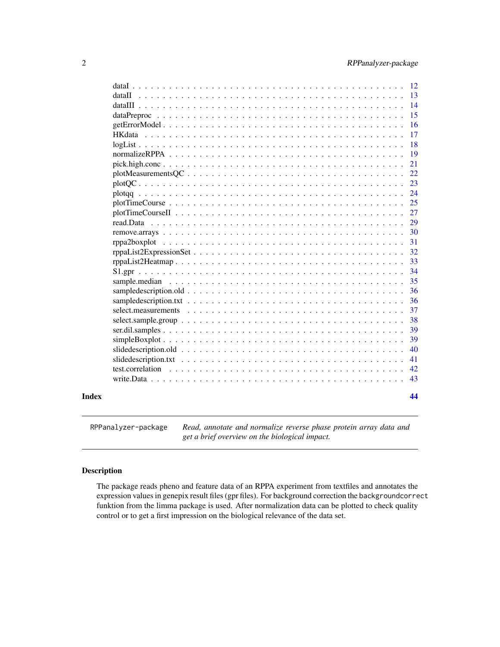<span id="page-1-0"></span>

| Index |                                                                                                                       | 44 |
|-------|-----------------------------------------------------------------------------------------------------------------------|----|
|       |                                                                                                                       | 43 |
|       | test.correlation                                                                                                      | 42 |
|       |                                                                                                                       | 41 |
|       |                                                                                                                       | 40 |
|       | $simpleBoxplot \dots \dots \dots \dots \dots \dots \dots \dots \dots \dots \dots \dots \dots \dots \dots \dots \dots$ | 39 |
|       |                                                                                                                       | 39 |
|       |                                                                                                                       | 38 |
|       |                                                                                                                       | 37 |
|       |                                                                                                                       | 36 |
|       |                                                                                                                       | 36 |
|       |                                                                                                                       | 35 |
|       |                                                                                                                       | 34 |
|       |                                                                                                                       | 33 |
|       |                                                                                                                       | 32 |
|       |                                                                                                                       | 31 |
|       |                                                                                                                       | 30 |
|       | read.Data                                                                                                             | 29 |
|       |                                                                                                                       | 27 |
|       |                                                                                                                       | 25 |
|       |                                                                                                                       | 24 |
|       |                                                                                                                       | 23 |
|       | $plotMeasurementsQC \dots \dots \dots \dots \dots \dots \dots \dots \dots \dots \dots \dots \dots \dots$              | 22 |
|       |                                                                                                                       | 21 |
|       |                                                                                                                       | 19 |
|       |                                                                                                                       | 18 |
|       |                                                                                                                       | 17 |
|       |                                                                                                                       | 16 |
|       |                                                                                                                       | 15 |
|       |                                                                                                                       | 14 |
|       | dataII                                                                                                                | 13 |
|       |                                                                                                                       | 12 |

RPPanalyzer-package *Read, annotate and normalize reverse phase protein array data and get a brief overview on the biological impact.*

### Description

The package reads pheno and feature data of an RPPA experiment from textfiles and annotates the expression values in genepix result files (gpr files). For background correction the backgroundcorrect funktion from the limma package is used. After normalization data can be plotted to check quality control or to get a first impression on the biological relevance of the data set.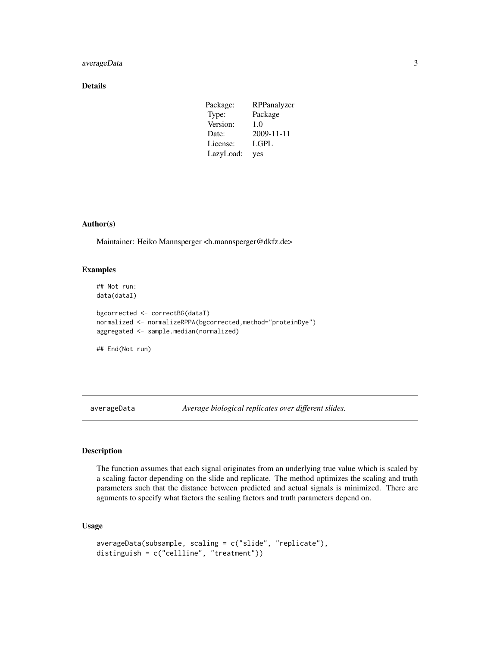### <span id="page-2-0"></span>averageData 3

### Details

| Package:  | RPPanalyzer |
|-----------|-------------|
| Type:     | Package     |
| Version:  | 1.0         |
| Date:     | 2009-11-11  |
| License:  | <b>LGPL</b> |
| LazyLoad: | yes         |

### Author(s)

Maintainer: Heiko Mannsperger <h.mannsperger@dkfz.de>

### Examples

## Not run: data(dataI)

bgcorrected <- correctBG(dataI) normalized <- normalizeRPPA(bgcorrected,method="proteinDye") aggregated <- sample.median(normalized)

## End(Not run)

averageData *Average biological replicates over different slides.*

### Description

The function assumes that each signal originates from an underlying true value which is scaled by a scaling factor depending on the slide and replicate. The method optimizes the scaling and truth parameters such that the distance between predicted and actual signals is minimized. There are aguments to specify what factors the scaling factors and truth parameters depend on.

### Usage

```
averageData(subsample, scaling = c("slide", "replicate"),
distinguish = c("cellline", "treatment"))
```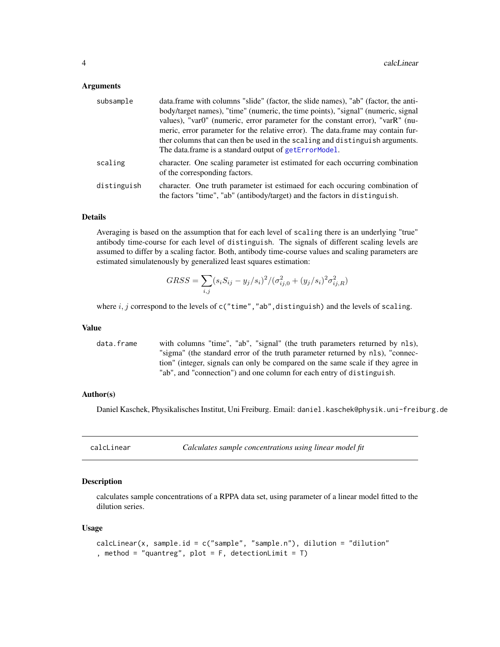#### <span id="page-3-0"></span>**Arguments**

| subsample   | data.frame with columns "slide" (factor, the slide names), "ab" (factor, the anti-<br>body/target names), "time" (numeric, the time points), "signal" (numeric, signal<br>values), "var0" (numeric, error parameter for the constant error), "varR" (nu-<br>meric, error parameter for the relative error). The data frame may contain fur-<br>ther columns that can then be used in the scaling and distinguish arguments.<br>The data frame is a standard output of getErrorModel. |
|-------------|--------------------------------------------------------------------------------------------------------------------------------------------------------------------------------------------------------------------------------------------------------------------------------------------------------------------------------------------------------------------------------------------------------------------------------------------------------------------------------------|
| scaling     | character. One scaling parameter ist estimated for each occurring combination<br>of the corresponding factors.                                                                                                                                                                                                                                                                                                                                                                       |
| distinguish | character. One truth parameter ist estimated for each occurring combination of<br>the factors "time", "ab" (antibody/target) and the factors in distinguish.                                                                                                                                                                                                                                                                                                                         |

#### Details

Averaging is based on the assumption that for each level of scaling there is an underlying "true" antibody time-course for each level of distinguish. The signals of different scaling levels are assumed to differ by a scaling factor. Both, antibody time-course values and scaling parameters are estimated simulatenously by generalized least squares estimation:

$$
GRSS = \sum_{i,j} (s_i S_{ij} - y_j/s_i)^2 / (\sigma_{ij,0}^2 + (y_j/s_i)^2 \sigma_{ij,R}^2)
$$

where  $i, j$  correspond to the levels of  $c("time", "ab", \text{distinguish})$  and the levels of scaling.

#### Value

data.frame with columns "time", "ab", "signal" (the truth parameters returned by nls), "sigma" (the standard error of the truth parameter returned by nls), "connection" (integer, signals can only be compared on the same scale if they agree in "ab", and "connection") and one column for each entry of distinguish.

#### Author(s)

Daniel Kaschek, Physikalisches Institut, Uni Freiburg. Email: daniel.kaschek@physik.uni-freiburg.de

| calcLinear | Calculates sample concentrations using linear model fit |  |
|------------|---------------------------------------------------------|--|
|------------|---------------------------------------------------------|--|

#### Description

calculates sample concentrations of a RPPA data set, using parameter of a linear model fitted to the dilution series.

#### Usage

```
calcLinear(x, sample.id = c("sample", "sample.n"), dilution = "dilution"
, method = "quantreg", plot = F, detectionLimit = T)
```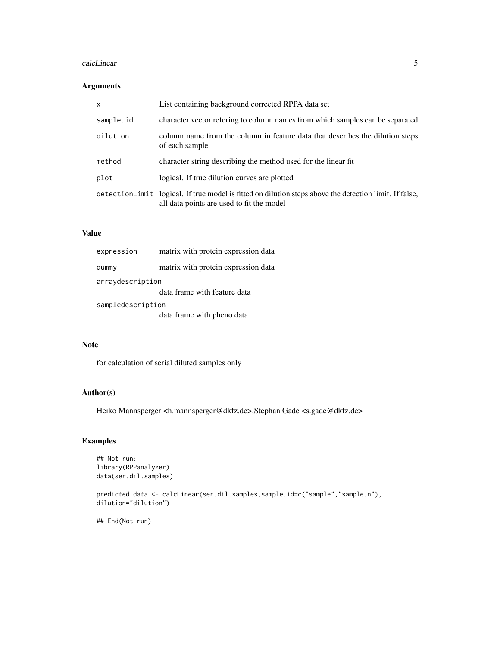#### calcLinear 5

### Arguments

| $\times$  | List containing background corrected RPPA data set                                                                                                   |
|-----------|------------------------------------------------------------------------------------------------------------------------------------------------------|
| sample.id | character vector refering to column names from which samples can be separated                                                                        |
| dilution  | column name from the column in feature data that describes the dilution steps<br>of each sample                                                      |
| method    | character string describing the method used for the linear fit                                                                                       |
| plot      | logical. If true dilution curves are plotted                                                                                                         |
|           | detection Limit logical. If true model is fitted on dilution steps above the detection limit. If false,<br>all data points are used to fit the model |

### Value

| expression        | matrix with protein expression data |  |
|-------------------|-------------------------------------|--|
| dummy             | matrix with protein expression data |  |
| arraydescription  |                                     |  |
|                   | data frame with feature data        |  |
| sampledescription |                                     |  |
|                   | data frame with pheno data          |  |

### Note

for calculation of serial diluted samples only

### Author(s)

Heiko Mannsperger <h.mannsperger@dkfz.de>,Stephan Gade <s.gade@dkfz.de>

### Examples

```
## Not run:
library(RPPanalyzer)
data(ser.dil.samples)
```

```
predicted.data <- calcLinear(ser.dil.samples,sample.id=c("sample","sample.n"),
dilution="dilution")
```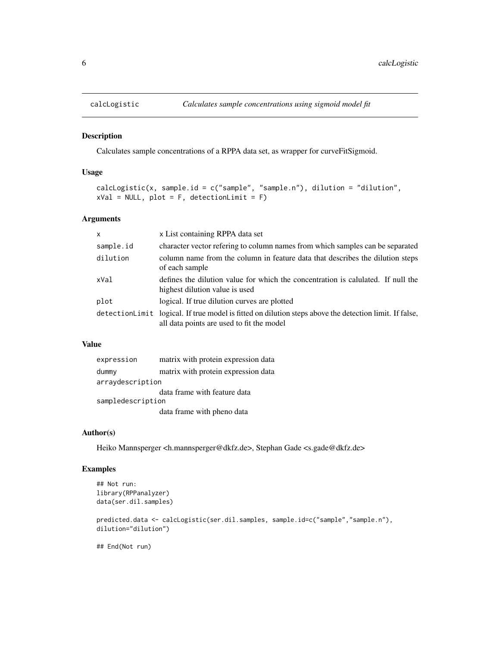<span id="page-5-0"></span>

Calculates sample concentrations of a RPPA data set, as wrapper for curveFitSigmoid.

#### Usage

```
calcLogistic(x, sample.id = c("sample", "sample.n"), dilution = "dilution",
xVal = NULL, plot = F, detectionLimit = F)
```
### Arguments

| $\mathsf{x}$ | x List containing RPPA data set                                                                                                                      |
|--------------|------------------------------------------------------------------------------------------------------------------------------------------------------|
| sample.id    | character vector refering to column names from which samples can be separated                                                                        |
| dilution     | column name from the column in feature data that describes the dilution steps<br>of each sample                                                      |
| xVal         | defines the dilution value for which the concentration is calulated. If null the<br>highest dilution value is used                                   |
| plot         | logical. If true dilution curves are plotted                                                                                                         |
|              | detection Limit logical. If true model is fitted on dilution steps above the detection limit. If false,<br>all data points are used to fit the model |

### Value

| expression        | matrix with protein expression data |
|-------------------|-------------------------------------|
| dummy             | matrix with protein expression data |
| arraydescription  |                                     |
|                   | data frame with feature data        |
| sampledescription |                                     |
|                   | data frame with pheno data          |

#### Author(s)

Heiko Mannsperger <h.mannsperger@dkfz.de>, Stephan Gade <s.gade@dkfz.de>

### Examples

```
## Not run:
library(RPPanalyzer)
data(ser.dil.samples)
```

```
predicted.data <- calcLogistic(ser.dil.samples, sample.id=c("sample","sample.n"),
dilution="dilution")
```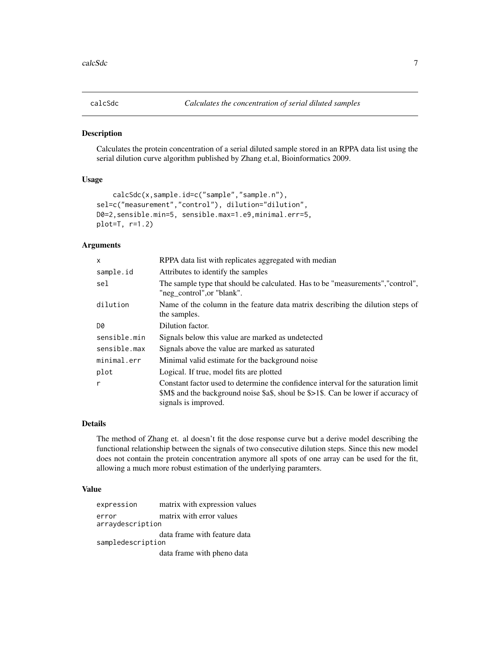<span id="page-6-0"></span>

Calculates the protein concentration of a serial diluted sample stored in an RPPA data list using the serial dilution curve algorithm published by Zhang et.al, Bioinformatics 2009.

### Usage

```
calcSdc(x,sample.id=c("sample","sample.n"),
sel=c("measurement","control"), dilution="dilution",
D0=2,sensible.min=5, sensible.max=1.e9,minimal.err=5,
plot=T, r=1.2)
```
#### Arguments

| x            | RPPA data list with replicates aggregated with median                                                                                                                                            |  |
|--------------|--------------------------------------------------------------------------------------------------------------------------------------------------------------------------------------------------|--|
| sample.id    | Attributes to identify the samples                                                                                                                                                               |  |
| sel          | The sample type that should be calculated. Has to be "measurements", "control",<br>"neg_control", or "blank".                                                                                    |  |
| dilution     | Name of the column in the feature data matrix describing the dilution steps of<br>the samples.                                                                                                   |  |
| D0           | Dilution factor.                                                                                                                                                                                 |  |
| sensible.min | Signals below this value are marked as undetected                                                                                                                                                |  |
| sensible.max | Signals above the value are marked as saturated                                                                                                                                                  |  |
| minimal.err  | Minimal valid estimate for the background noise                                                                                                                                                  |  |
| plot         | Logical. If true, model fits are plotted                                                                                                                                                         |  |
| r            | Constant factor used to determine the confidence interval for the saturation limit<br>\$M\$ and the background noise \$a\$, shoul be \$>1\$. Can be lower if accuracy of<br>signals is improved. |  |

#### Details

The method of Zhang et. al doesn't fit the dose response curve but a derive model describing the functional relationship between the signals of two consecutive dilution steps. Since this new model does not contain the protein concentration anymore all spots of one array can be used for the fit, allowing a much more robust estimation of the underlying paramters.

#### Value

expression matrix with expression values error matrix with error values arraydescription data frame with feature data sampledescription data frame with pheno data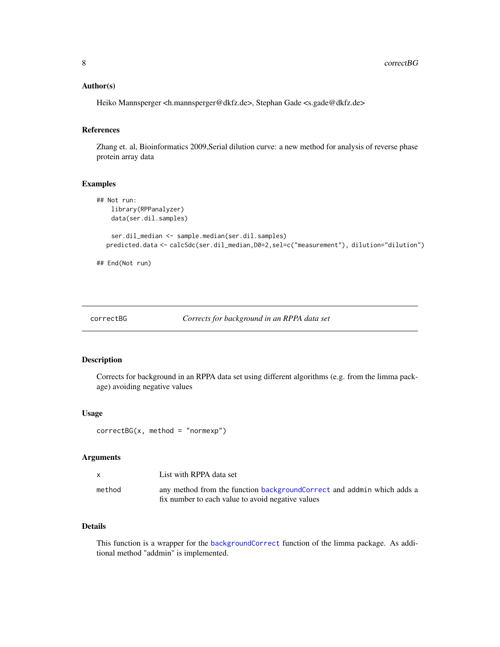#### <span id="page-7-0"></span>Author(s)

Heiko Mannsperger <h.mannsperger@dkfz.de>, Stephan Gade <s.gade@dkfz.de>

### References

Zhang et. al, Bioinformatics 2009,Serial dilution curve: a new method for analysis of reverse phase protein array data

### Examples

```
## Not run:
   library(RPPanalyzer)
   data(ser.dil.samples)
   ser.dil_median <- sample.median(ser.dil.samples)
  predicted.data <- calcSdc(ser.dil_median,D0=2,sel=c("measurement"), dilution="dilution")
```
## End(Not run)

```
correctBG Corrects for background in an RPPA data set
```
### Description

Corrects for background in an RPPA data set using different algorithms (e.g. from the limma package) avoiding negative values

#### Usage

correctBG(x, method = "normexp")

### Arguments

|        | List with RPPA data set                                                 |
|--------|-------------------------------------------------------------------------|
| method | any method from the function background Correct and addmin which adds a |
|        | fix number to each value to avoid negative values                       |

### Details

This function is a wrapper for the [backgroundCorrect](#page-0-0) function of the limma package. As additional method "addmin" is implemented.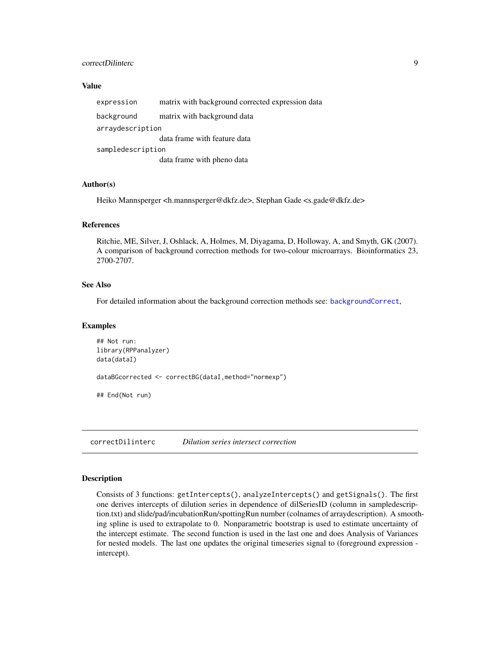### <span id="page-8-0"></span>correctDilinterc 9

#### Value

| expression        | matrix with background corrected expression data |  |
|-------------------|--------------------------------------------------|--|
| background        | matrix with background data                      |  |
| arraydescription  |                                                  |  |
|                   | data frame with feature data                     |  |
| sampledescription |                                                  |  |
|                   | data frame with pheno data                       |  |

### Author(s)

Heiko Mannsperger <h.mannsperger@dkfz.de>, Stephan Gade <s.gade@dkfz.de>

#### References

Ritchie, ME, Silver, J, Oshlack, A, Holmes, M, Diyagama, D, Holloway, A, and Smyth, GK (2007). A comparison of background correction methods for two-colour microarrays. Bioinformatics 23, 2700-2707.

#### See Also

For detailed information about the background correction methods see: [backgroundCorrect](#page-0-0),

#### Examples

```
## Not run:
library(RPPanalyzer)
data(dataI)
dataBGcorrected <- correctBG(dataI,method="normexp")
## End(Not run)
```
<span id="page-8-1"></span>correctDilinterc *Dilution series intersect correction*

### Description

Consists of 3 functions: getIntercepts(), analyzeIntercepts() and getSignals(). The first one derives intercepts of dilution series in dependence of dilSeriesID (column in sampledescription.txt) and slide/pad/incubationRun/spottingRun number (colnames of arraydescription). A smoothing spline is used to extrapolate to 0. Nonparametric bootstrap is used to estimate uncertainty of the intercept estimate. The second function is used in the last one and does Analysis of Variances for nested models. The last one updates the original timeseries signal to (foreground expression intercept).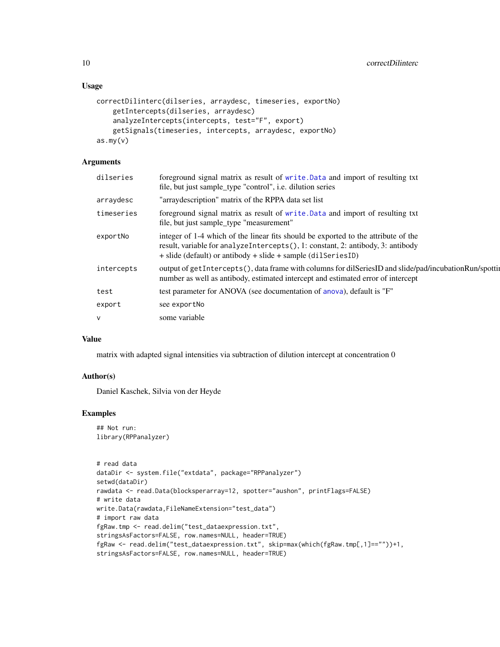#### <span id="page-9-0"></span>Usage

```
correctDilinterc(dilseries, arraydesc, timeseries, exportNo)
    getIntercepts(dilseries, arraydesc)
    analyzeIntercepts(intercepts, test="F", export)
    getSignals(timeseries, intercepts, arraydesc, exportNo)
as.my(v)
```
### Arguments

| dilseries  | foreground signal matrix as result of write. Data and import of resulting txt<br>file, but just sample_type "control", i.e. dilution series                                                                                             |
|------------|-----------------------------------------------------------------------------------------------------------------------------------------------------------------------------------------------------------------------------------------|
| arraydesc  | "array description" matrix of the RPPA data set list                                                                                                                                                                                    |
| timeseries | foreground signal matrix as result of write. Data and import of resulting txt<br>file, but just sample_type "measurement"                                                                                                               |
| exportNo   | integer of 1-4 which of the linear fits should be exported to the attribute of the<br>result, variable for analyzeIntercepts(), 1: constant, 2: antibody, 3: antibody<br>+ slide (default) or antibody + slide + sample (dil Series ID) |
| intercepts | output of getIntercepts(), data frame with columns for dilSeriesID and slide/pad/incubationRun/spottin<br>number as well as antibody, estimated intercept and estimated error of intercept                                              |
| test       | test parameter for ANOVA (see documentation of anova), default is "F"                                                                                                                                                                   |
| export     | see exportNo                                                                                                                                                                                                                            |
| $\vee$     | some variable                                                                                                                                                                                                                           |

### Value

matrix with adapted signal intensities via subtraction of dilution intercept at concentration 0

#### Author(s)

Daniel Kaschek, Silvia von der Heyde

### Examples

## Not run: library(RPPanalyzer)

```
# read data
dataDir <- system.file("extdata", package="RPPanalyzer")
setwd(dataDir)
rawdata <- read.Data(blocksperarray=12, spotter="aushon", printFlags=FALSE)
# write data
write.Data(rawdata,FileNameExtension="test_data")
# import raw data
fgRaw.tmp <- read.delim("test_dataexpression.txt",
stringsAsFactors=FALSE, row.names=NULL, header=TRUE)
fgRaw <- read.delim("test_dataexpression.txt", skip=max(which(fgRaw.tmp[,1]==""))+1,
stringsAsFactors=FALSE, row.names=NULL, header=TRUE)
```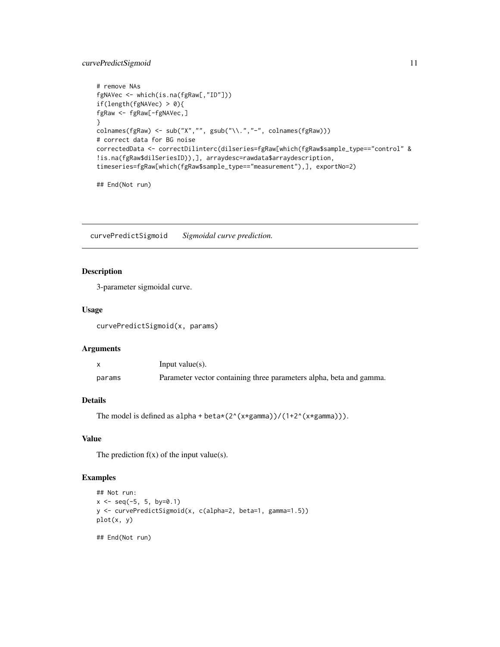### <span id="page-10-0"></span>curvePredictSigmoid 11

```
# remove NAs
fgNAVec <- which(is.na(fgRaw[,"ID"]))
if(length(fgNAVec) > 0){
fgRaw <- fgRaw[-fgNAVec,]
}
colnames(fgRaw) <- sub("X","", gsub("\\.","-", colnames(fgRaw)))
# correct data for BG noise
correctedData <- correctDilinterc(dilseries=fgRaw[which(fgRaw$sample_type=="control" &
!is.na(fgRaw$dilSeriesID)),], arraydesc=rawdata$arraydescription,
timeseries=fgRaw[which(fgRaw$sample_type=="measurement"),], exportNo=2)
```
## End(Not run)

curvePredictSigmoid *Sigmoidal curve prediction.*

### Description

3-parameter sigmoidal curve.

#### Usage

curvePredictSigmoid(x, params)

#### Arguments

|        | Input value $(s)$ .                                                 |
|--------|---------------------------------------------------------------------|
| params | Parameter vector containing three parameters alpha, beta and gamma. |

### Details

```
The model is defined as alpha + beta*(2^(x*gamma))/(1+2^(x*gamma))).
```
### Value

The prediction  $f(x)$  of the input value(s).

### Examples

```
## Not run:
x \le - seq(-5, 5, by=0.1)
y <- curvePredictSigmoid(x, c(alpha=2, beta=1, gamma=1.5))
plot(x, y)
```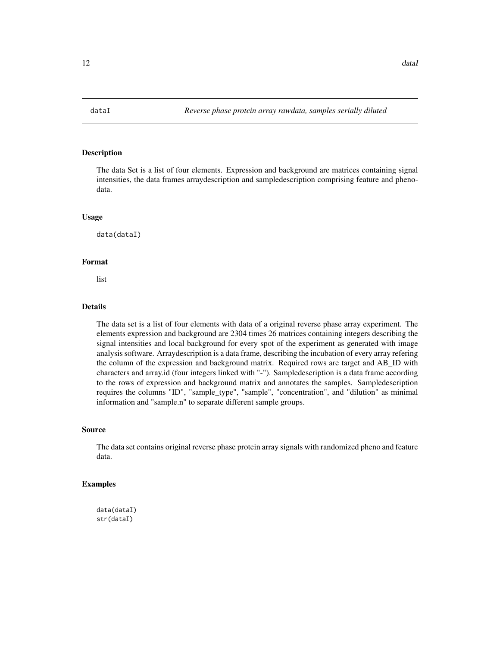<span id="page-11-0"></span>

The data Set is a list of four elements. Expression and background are matrices containing signal intensities, the data frames arraydescription and sampledescription comprising feature and phenodata.

#### Usage

data(dataI)

### Format

list

### Details

The data set is a list of four elements with data of a original reverse phase array experiment. The elements expression and background are 2304 times 26 matrices containing integers describing the signal intensities and local background for every spot of the experiment as generated with image analysis software. Arraydescription is a data frame, describing the incubation of every array refering the column of the expression and background matrix. Required rows are target and AB\_ID with characters and array.id (four integers linked with "-"). Sampledescription is a data frame according to the rows of expression and background matrix and annotates the samples. Sampledescription requires the columns "ID", "sample\_type", "sample", "concentration", and "dilution" as minimal information and "sample.n" to separate different sample groups.

#### Source

The data set contains original reverse phase protein array signals with randomized pheno and feature data.

### Examples

data(dataI) str(dataI)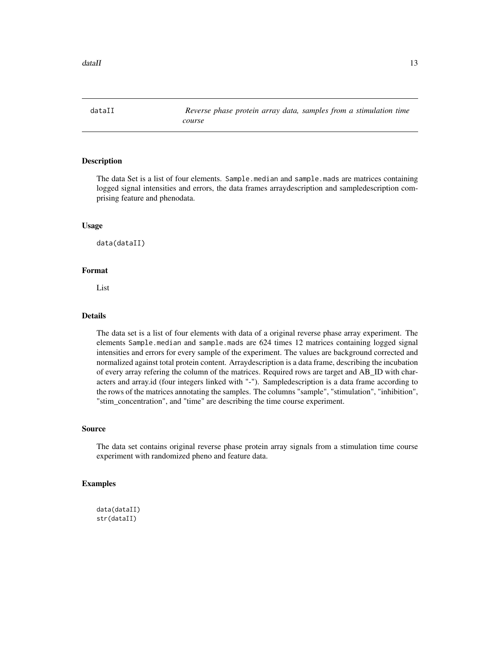<span id="page-12-0"></span>dataII *Reverse phase protein array data, samples from a stimulation time course*

### Description

The data Set is a list of four elements. Sample.median and sample.mads are matrices containing logged signal intensities and errors, the data frames arraydescription and sampledescription comprising feature and phenodata.

#### Usage

data(dataII)

### Format

List

### Details

The data set is a list of four elements with data of a original reverse phase array experiment. The elements Sample.median and sample.mads are 624 times 12 matrices containing logged signal intensities and errors for every sample of the experiment. The values are background corrected and normalized against total protein content. Arraydescription is a data frame, describing the incubation of every array refering the column of the matrices. Required rows are target and AB\_ID with characters and array.id (four integers linked with "-"). Sampledescription is a data frame according to the rows of the matrices annotating the samples. The columns "sample", "stimulation", "inhibition", "stim\_concentration", and "time" are describing the time course experiment.

#### Source

The data set contains original reverse phase protein array signals from a stimulation time course experiment with randomized pheno and feature data.

#### Examples

```
data(dataII)
str(dataII)
```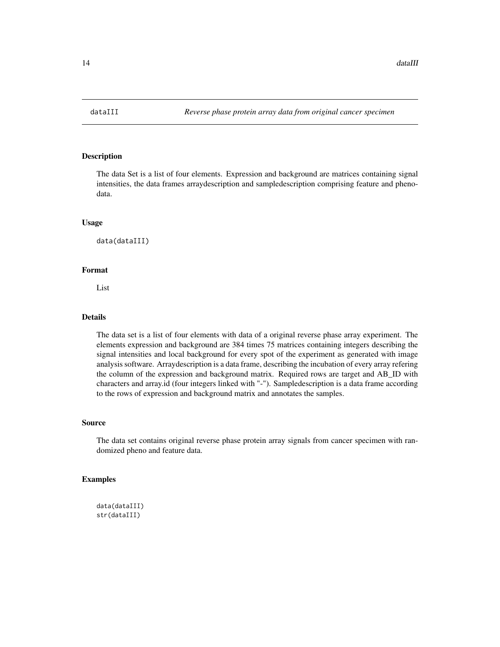<span id="page-13-0"></span>

The data Set is a list of four elements. Expression and background are matrices containing signal intensities, the data frames arraydescription and sampledescription comprising feature and phenodata.

#### Usage

data(dataIII)

### Format

List

#### Details

The data set is a list of four elements with data of a original reverse phase array experiment. The elements expression and background are 384 times 75 matrices containing integers describing the signal intensities and local background for every spot of the experiment as generated with image analysis software. Arraydescription is a data frame, describing the incubation of every array refering the column of the expression and background matrix. Required rows are target and AB\_ID with characters and array.id (four integers linked with "-"). Sampledescription is a data frame according to the rows of expression and background matrix and annotates the samples.

#### Source

The data set contains original reverse phase protein array signals from cancer specimen with randomized pheno and feature data.

#### Examples

```
data(dataIII)
str(dataIII)
```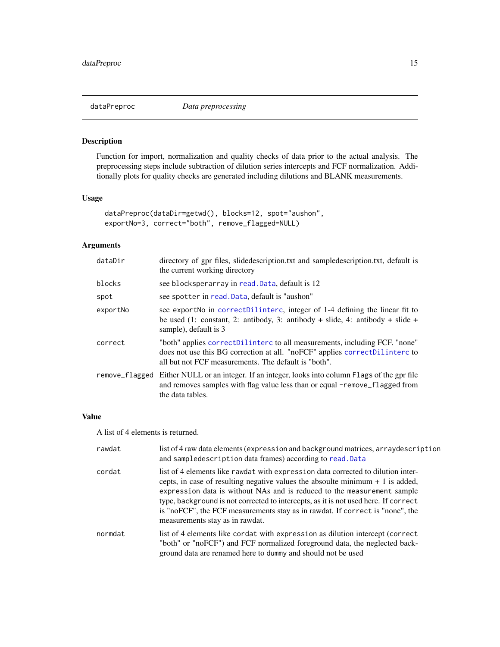<span id="page-14-0"></span>

Function for import, normalization and quality checks of data prior to the actual analysis. The preprocessing steps include subtraction of dilution series intercepts and FCF normalization. Additionally plots for quality checks are generated including dilutions and BLANK measurements.

### Usage

```
dataPreproc(dataDir=getwd(), blocks=12, spot="aushon",
exportNo=3, correct="both", remove_flagged=NULL)
```
### Arguments

| dataDir        | directory of gpr files, slidedescription.txt and sampledescription.txt, default is<br>the current working directory                                                                                               |
|----------------|-------------------------------------------------------------------------------------------------------------------------------------------------------------------------------------------------------------------|
| blocks         | see blocksperarray in read. Data, default is 12                                                                                                                                                                   |
| spot           | see spotter in read. Data, default is "aushon"                                                                                                                                                                    |
| exportNo       | see export No in correct Dilinterc, integer of 1-4 defining the linear fit to<br>be used (1: constant, 2: antibody, 3: antibody + slide, 4: antibody + slide +<br>sample), default is 3                           |
| correct        | "both" applies correctDilinterc to all measurements, including FCF. "none"<br>does not use this BG correction at all. "noFCF" applies correctDilinterc to<br>all but not FCF measurements. The default is "both". |
| remove_flagged | Either NULL or an integer. If an integer, looks into column Flags of the gpr file<br>and removes samples with flag value less than or equal -remove_flagged from<br>the data tables.                              |

### Value

A list of 4 elements is returned.

| rawdat  | list of 4 raw data elements (expression and background matrices, arraydescription<br>and sampledescription data frames) according to read. Data                                                                                                                                                                                                                                                                                                           |
|---------|-----------------------------------------------------------------------------------------------------------------------------------------------------------------------------------------------------------------------------------------------------------------------------------------------------------------------------------------------------------------------------------------------------------------------------------------------------------|
| cordat  | list of 4 elements like rawdat with expression data corrected to dilution inter-<br>cepts, in case of resulting negative values the absoulte minimum $+1$ is added,<br>expression data is without NAs and is reduced to the measurement sample<br>type, background is not corrected to intercepts, as it is not used here. If correct<br>is "noFCF", the FCF measurements stay as in rawdat. If correct is "none", the<br>measurements stay as in rawdat. |
| normdat | list of 4 elements like cordat with expression as dilution intercept (correct<br>"both" or "noFCF") and FCF normalized foreground data, the neglected back-<br>ground data are renamed here to dummy and should not be used                                                                                                                                                                                                                               |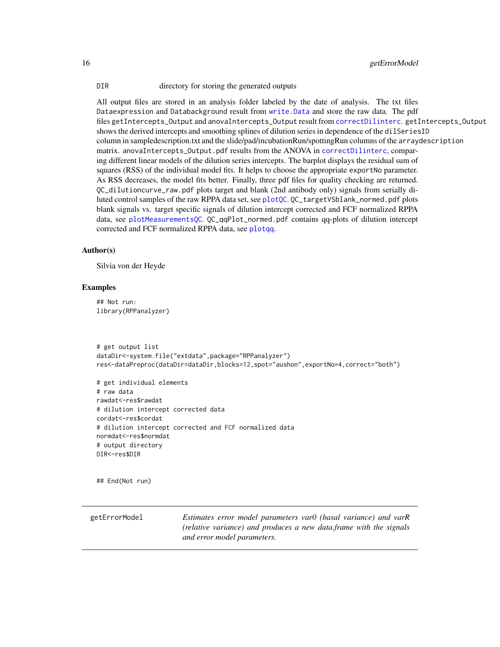<span id="page-15-0"></span>16 getErrorModel

DIR directory for storing the generated outputs

All output files are stored in an analysis folder labeled by the date of analysis. The txt files Dataexpression and Databackground result from [write.Data](#page-42-1) and store the raw data. The pdf files getIntercepts\_Output and anovaIntercepts\_Output result from [correctDilinterc](#page-8-1). getIntercepts\_Output shows the derived intercepts and smoothing splines of dilution series in dependence of the dilSeriesID column in sampledescription.txt and the slide/pad/incubationRun/spottingRun columns of the arraydescription matrix. anovaIntercepts\_Output.pdf results from the ANOVA in [correctDilinterc](#page-8-1), comparing different linear models of the dilution series intercepts. The barplot displays the residual sum of squares (RSS) of the individual model fits. It helps to choose the appropriate exportNo parameter. As RSS decreases, the model fits better. Finally, three pdf files for quality checking are returned. QC\_dilutioncurve\_raw.pdf plots target and blank (2nd antibody only) signals from serially diluted control samples of the raw RPPA data set, see [plotQC](#page-22-1). QC\_targetVSblank\_normed.pdf plots blank signals vs. target specific signals of dilution intercept corrected and FCF normalized RPPA data, see [plotMeasurementsQC](#page-21-1). QC\_qqPlot\_normed.pdf contains qq-plots of dilution intercept corrected and FCF normalized RPPA data, see [plotqq](#page-23-1).

#### Author(s)

Silvia von der Heyde

#### Examples

## Not run: library(RPPanalyzer)

```
# get output list
dataDir<-system.file("extdata",package="RPPanalyzer")
res<-dataPreproc(dataDir=dataDir,blocks=12,spot="aushon",exportNo=4,correct="both")
```

```
# get individual elements
# raw data
rawdat<-res$rawdat
# dilution intercept corrected data
cordat<-res$cordat
# dilution intercept corrected and FCF normalized data
normdat<-res$normdat
# output directory
DIR<-res$DIR
```
## End(Not run)

<span id="page-15-1"></span>getErrorModel *Estimates error model parameters var0 (basal variance) and varR (relative variance) and produces a new data.frame with the signals and error model parameters.*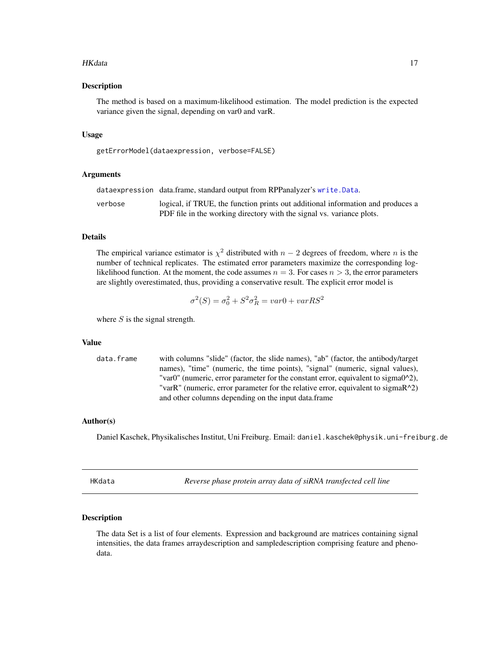#### <span id="page-16-0"></span>HKdata 17

#### Description

The method is based on a maximum-likelihood estimation. The model prediction is the expected variance given the signal, depending on var0 and varR.

#### Usage

getErrorModel(dataexpression, verbose=FALSE)

#### Arguments

|         | dataexpression data.frame, standard output from RPPanalyzer's write.Data.                                                                                |
|---------|----------------------------------------------------------------------------------------------------------------------------------------------------------|
| verbose | logical, if TRUE, the function prints out additional information and produces a<br>PDF file in the working directory with the signal vs. variance plots. |
|         |                                                                                                                                                          |

### Details

The empirical variance estimator is  $\chi^2$  distributed with  $n-2$  degrees of freedom, where n is the number of technical replicates. The estimated error parameters maximize the corresponding loglikelihood function. At the moment, the code assumes  $n = 3$ . For cases  $n > 3$ , the error parameters are slightly overestimated, thus, providing a conservative result. The explicit error model is

$$
\sigma^2(S) = \sigma_0^2 + S^2 \sigma_R^2 = var0 + varRS^2
$$

where  $S$  is the signal strength.

#### Value

data.frame with columns "slide" (factor, the slide names), "ab" (factor, the antibody/target names), "time" (numeric, the time points), "signal" (numeric, signal values), "var0" (numeric, error parameter for the constant error, equivalent to sigma0^2), "varR" (numeric, error parameter for the relative error, equivalent to sigmaR^2) and other columns depending on the input data.frame

#### Author(s)

Daniel Kaschek, Physikalisches Institut, Uni Freiburg. Email: daniel.kaschek@physik.uni-freiburg.de

HKdata *Reverse phase protein array data of siRNA transfected cell line*

#### **Description**

The data Set is a list of four elements. Expression and background are matrices containing signal intensities, the data frames arraydescription and sampledescription comprising feature and phenodata.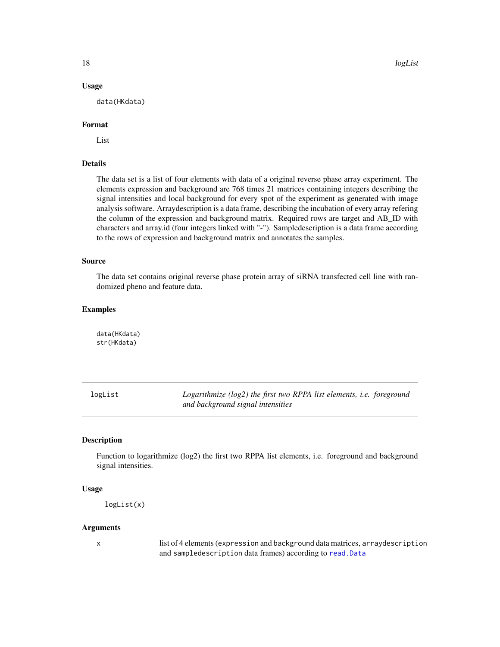### <span id="page-17-0"></span>Usage

data(HKdata)

#### Format

List

#### Details

The data set is a list of four elements with data of a original reverse phase array experiment. The elements expression and background are 768 times 21 matrices containing integers describing the signal intensities and local background for every spot of the experiment as generated with image analysis software. Arraydescription is a data frame, describing the incubation of every array refering the column of the expression and background matrix. Required rows are target and AB\_ID with characters and array.id (four integers linked with "-"). Sampledescription is a data frame according to the rows of expression and background matrix and annotates the samples.

#### Source

The data set contains original reverse phase protein array of siRNA transfected cell line with randomized pheno and feature data.

#### Examples

data(HKdata) str(HKdata)

logList *Logarithmize (log2) the first two RPPA list elements, i.e. foreground and background signal intensities*

### **Description**

Function to logarithmize (log2) the first two RPPA list elements, i.e. foreground and background signal intensities.

### Usage

```
logList(x)
```
#### Arguments

x list of 4 elements (expression and background data matrices, arraydescription and sampledescription data frames) according to [read.Data](#page-28-1)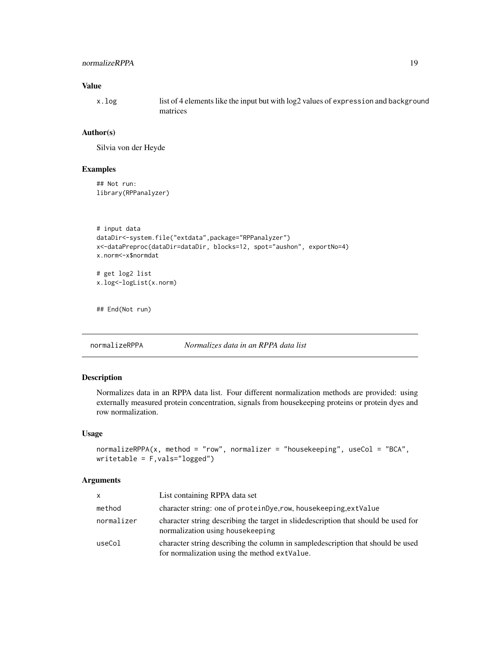### <span id="page-18-0"></span>normalizeRPPA 19

### Value

x.log list of 4 elements like the input but with log2 values of expression and background matrices

#### Author(s)

Silvia von der Heyde

#### Examples

## Not run: library(RPPanalyzer)

```
# input data
dataDir<-system.file("extdata",package="RPPanalyzer")
x<-dataPreproc(dataDir=dataDir, blocks=12, spot="aushon", exportNo=4)
x.norm<-x$normdat
# get log2 list
x.log<-logList(x.norm)
```

```
## End(Not run)
```
normalizeRPPA *Normalizes data in an RPPA data list*

### Description

Normalizes data in an RPPA data list. Four different normalization methods are provided: using externally measured protein concentration, signals from housekeeping proteins or protein dyes and row normalization.

#### Usage

```
normalizeRPPA(x, method = "row", normalizer = "housekeeping", useCol = "BCA",
writetable = F,vals="logged")
```
### Arguments

| x          | List containing RPPA data set                                                                                                    |
|------------|----------------------------------------------------------------------------------------------------------------------------------|
| method     | character string: one of proteinDye, row, housekeeping, extValue                                                                 |
| normalizer | character string describing the target in slide description that should be used for<br>normalization using housekeeping          |
| useCol     | character string describing the column in sampled escription that should be used<br>for normalization using the method extValue. |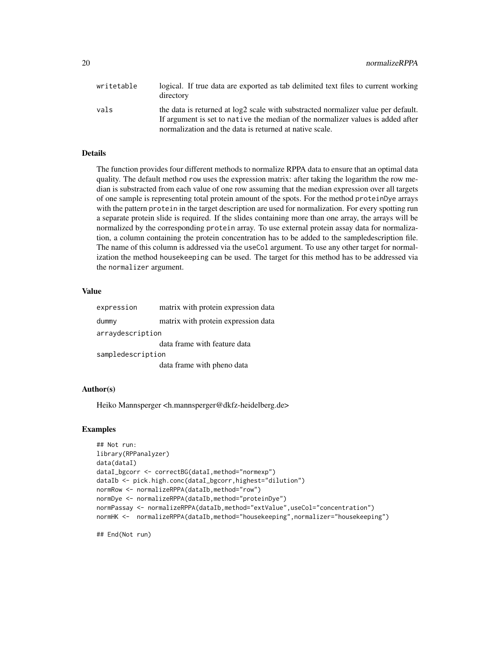| writetable | logical. If true data are exported as tab delimited text files to current working<br>directory                                                                       |
|------------|----------------------------------------------------------------------------------------------------------------------------------------------------------------------|
| vals       | the data is returned at log2 scale with substracted normalizer value per default.<br>If argument is set to native the median of the normalizer values is added after |
|            | normalization and the data is returned at native scale.                                                                                                              |

#### Details

The function provides four different methods to normalize RPPA data to ensure that an optimal data quality. The default method row uses the expression matrix: after taking the logarithm the row median is substracted from each value of one row assuming that the median expression over all targets of one sample is representing total protein amount of the spots. For the method proteinDye arrays with the pattern protein in the target description are used for normalization. For every spotting run a separate protein slide is required. If the slides containing more than one array, the arrays will be normalized by the corresponding protein array. To use external protein assay data for normalization, a column containing the protein concentration has to be added to the sampledescription file. The name of this column is addressed via the useCol argument. To use any other target for normalization the method housekeeping can be used. The target for this method has to be addressed via the normalizer argument.

#### Value

| expression        | matrix with protein expression data |  |  |
|-------------------|-------------------------------------|--|--|
| dummy             | matrix with protein expression data |  |  |
| arraydescription  |                                     |  |  |
|                   | data frame with feature data        |  |  |
| sampledescription |                                     |  |  |
|                   | data frame with pheno data          |  |  |

#### Author(s)

Heiko Mannsperger <h.mannsperger@dkfz-heidelberg.de>

#### Examples

```
## Not run:
library(RPPanalyzer)
data(dataI)
dataI_bgcorr <- correctBG(dataI,method="normexp")
dataIb <- pick.high.conc(dataI_bgcorr,highest="dilution")
normRow <- normalizeRPPA(dataIb,method="row")
normDye <- normalizeRPPA(dataIb,method="proteinDye")
normPassay <- normalizeRPPA(dataIb, method="extValue", useCol="concentration")
normHK <- normalizeRPPA(dataIb,method="housekeeping",normalizer="housekeeping")
```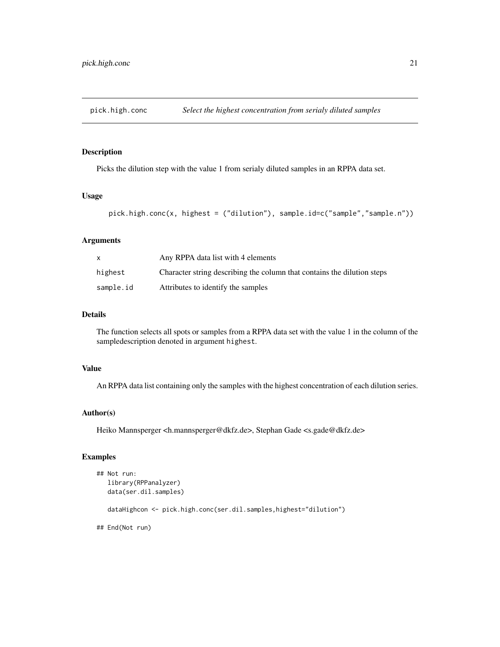<span id="page-20-0"></span>

Picks the dilution step with the value 1 from serialy diluted samples in an RPPA data set.

#### Usage

```
pick.high.conc(x, highest = ("dilution"), sample.id=c("sample","sample.n"))
```
### Arguments

|           | Any RPPA data list with 4 elements                                      |
|-----------|-------------------------------------------------------------------------|
| highest   | Character string describing the column that contains the dilution steps |
| sample.id | Attributes to identify the samples                                      |

### Details

The function selects all spots or samples from a RPPA data set with the value 1 in the column of the sampledescription denoted in argument highest.

### Value

An RPPA data list containing only the samples with the highest concentration of each dilution series.

### Author(s)

Heiko Mannsperger <h.mannsperger@dkfz.de>, Stephan Gade <s.gade@dkfz.de>

### Examples

```
## Not run:
  library(RPPanalyzer)
  data(ser.dil.samples)
  dataHighcon <- pick.high.conc(ser.dil.samples,highest="dilution")
## End(Not run)
```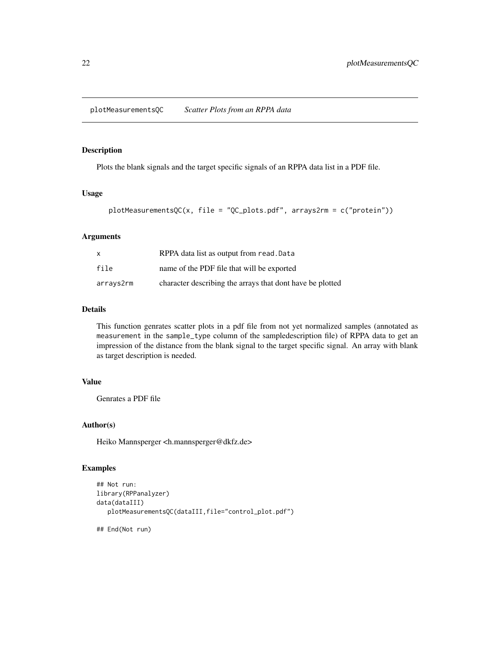<span id="page-21-1"></span><span id="page-21-0"></span>plotMeasurementsQC *Scatter Plots from an RPPA data*

### Description

Plots the blank signals and the target specific signals of an RPPA data list in a PDF file.

### Usage

```
plotMeasurementsQC(x, file = "QC_plots.pdf", arrays2rm = c("protein"))
```
#### Arguments

| x         | RPPA data list as output from read. Data                  |
|-----------|-----------------------------------------------------------|
| file      | name of the PDF file that will be exported                |
| arrays2rm | character describing the arrays that dont have be plotted |

### Details

This function genrates scatter plots in a pdf file from not yet normalized samples (annotated as measurement in the sample\_type column of the sampledescription file) of RPPA data to get an impression of the distance from the blank signal to the target specific signal. An array with blank as target description is needed.

### Value

Genrates a PDF file

#### Author(s)

Heiko Mannsperger <h.mannsperger@dkfz.de>

### Examples

```
## Not run:
library(RPPanalyzer)
data(dataIII)
  plotMeasurementsQC(dataIII,file="control_plot.pdf")
```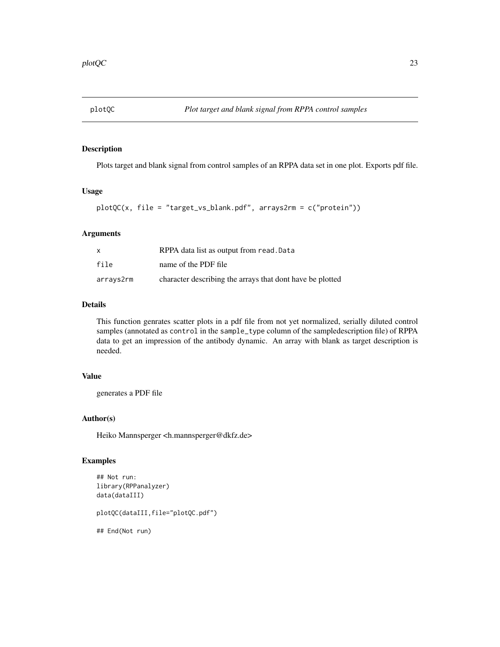<span id="page-22-1"></span><span id="page-22-0"></span>

Plots target and blank signal from control samples of an RPPA data set in one plot. Exports pdf file.

#### Usage

```
plotQC(x, file = "target_vs_blank.pdf", arrays2rm = c("protein"))
```
### Arguments

|           | RPPA data list as output from read. Data                  |
|-----------|-----------------------------------------------------------|
| file      | name of the PDF file                                      |
| arrays2rm | character describing the arrays that dont have be plotted |

### Details

This function genrates scatter plots in a pdf file from not yet normalized, serially diluted control samples (annotated as control in the sample\_type column of the sampledescription file) of RPPA data to get an impression of the antibody dynamic. An array with blank as target description is needed.

### Value

generates a PDF file

### Author(s)

Heiko Mannsperger <h.mannsperger@dkfz.de>

#### Examples

```
## Not run:
library(RPPanalyzer)
data(dataIII)
```
plotQC(dataIII,file="plotQC.pdf")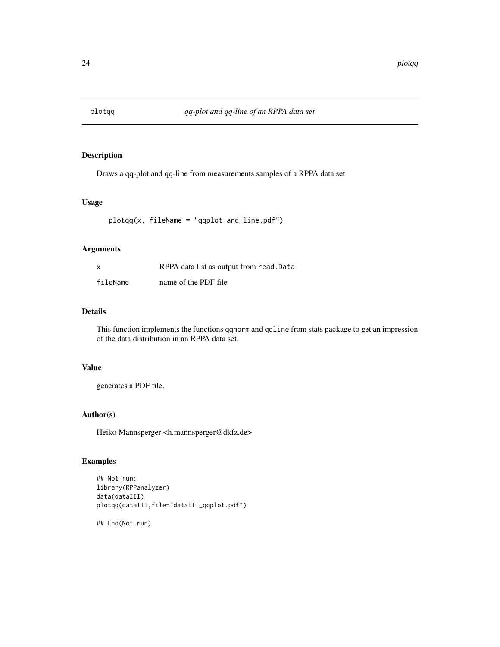<span id="page-23-1"></span><span id="page-23-0"></span>

Draws a qq-plot and qq-line from measurements samples of a RPPA data set

### Usage

plotqq(x, fileName = "qqplot\_and\_line.pdf")

### Arguments

| x        | RPPA data list as output from read. Data |
|----------|------------------------------------------|
| fileName | name of the PDF file                     |

### Details

This function implements the functions qqnorm and qqline from stats package to get an impression of the data distribution in an RPPA data set.

### Value

generates a PDF file.

### Author(s)

Heiko Mannsperger <h.mannsperger@dkfz.de>

### Examples

```
## Not run:
library(RPPanalyzer)
data(dataIII)
plotqq(dataIII,file="dataIII_qqplot.pdf")
```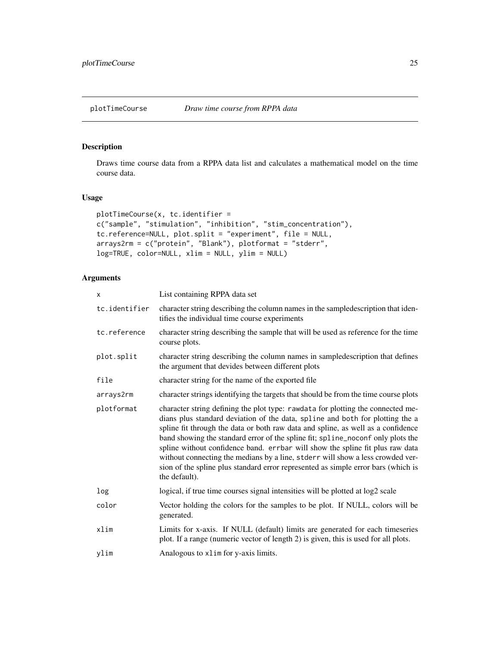<span id="page-24-0"></span>Draws time course data from a RPPA data list and calculates a mathematical model on the time course data.

### Usage

```
plotTimeCourse(x, tc.identifier =
c("sample", "stimulation", "inhibition", "stim_concentration"),
tc.reference=NULL, plot.split = "experiment", file = NULL,
arrays2rm = c("protein", "Blank"), plotformat = "stderr",
log=TRUE, color=NULL, xlim = NULL, ylim = NULL)
```
### Arguments

| x             | List containing RPPA data set                                                                                                                                                                                                                                                                                                                                                                                                                                                                                                                                                                                    |
|---------------|------------------------------------------------------------------------------------------------------------------------------------------------------------------------------------------------------------------------------------------------------------------------------------------------------------------------------------------------------------------------------------------------------------------------------------------------------------------------------------------------------------------------------------------------------------------------------------------------------------------|
| tc.identifier | character string describing the column names in the sampledescription that iden-<br>tifies the individual time course experiments                                                                                                                                                                                                                                                                                                                                                                                                                                                                                |
| tc.reference  | character string describing the sample that will be used as reference for the time<br>course plots.                                                                                                                                                                                                                                                                                                                                                                                                                                                                                                              |
| plot.split    | character string describing the column names in sampledescription that defines<br>the argument that devides between different plots                                                                                                                                                                                                                                                                                                                                                                                                                                                                              |
| file          | character string for the name of the exported file                                                                                                                                                                                                                                                                                                                                                                                                                                                                                                                                                               |
| arrays2rm     | character strings identifying the targets that should be from the time course plots                                                                                                                                                                                                                                                                                                                                                                                                                                                                                                                              |
| plotformat    | character string defining the plot type: rawdata for plotting the connected me-<br>dians plus standard deviation of the data, spline and both for plotting the a<br>spline fit through the data or both raw data and spline, as well as a confidence<br>band showing the standard error of the spline fit; spline_noconf only plots the<br>spline without confidence band. errbar will show the spline fit plus raw data<br>without connecting the medians by a line, stderr will show a less crowded ver-<br>sion of the spline plus standard error represented as simple error bars (which is<br>the default). |
| log           | logical, if true time courses signal intensities will be plotted at log2 scale                                                                                                                                                                                                                                                                                                                                                                                                                                                                                                                                   |
| color         | Vector holding the colors for the samples to be plot. If NULL, colors will be<br>generated.                                                                                                                                                                                                                                                                                                                                                                                                                                                                                                                      |
| xlim          | Limits for x-axis. If NULL (default) limits are generated for each timeseries<br>plot. If a range (numeric vector of length 2) is given, this is used for all plots.                                                                                                                                                                                                                                                                                                                                                                                                                                             |
| ylim          | Analogous to x1im for y-axis limits.                                                                                                                                                                                                                                                                                                                                                                                                                                                                                                                                                                             |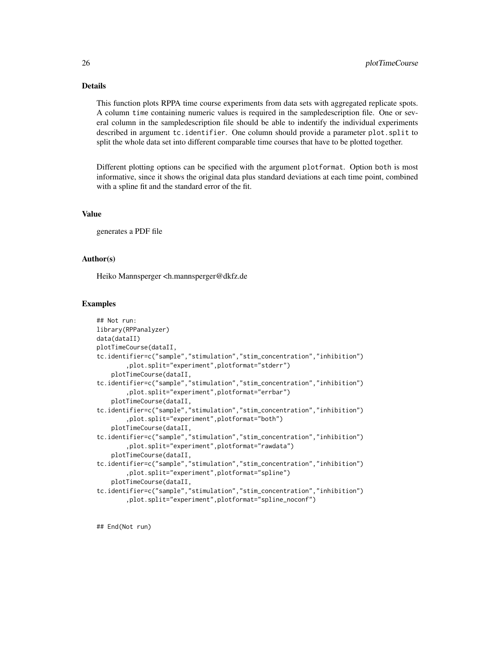### Details

This function plots RPPA time course experiments from data sets with aggregated replicate spots. A column time containing numeric values is required in the sampledescription file. One or several column in the sampledescription file should be able to indentify the individual experiments described in argument tc.identifier. One column should provide a parameter plot.split to split the whole data set into different comparable time courses that have to be plotted together.

Different plotting options can be specified with the argument plotformat. Option both is most informative, since it shows the original data plus standard deviations at each time point, combined with a spline fit and the standard error of the fit.

#### Value

generates a PDF file

#### Author(s)

Heiko Mannsperger <h.mannsperger@dkfz.de

#### Examples

```
## Not run:
library(RPPanalyzer)
data(dataII)
plotTimeCourse(dataII,
tc.identifier=c("sample","stimulation","stim_concentration","inhibition")
        ,plot.split="experiment",plotformat="stderr")
    plotTimeCourse(dataII,
tc.identifier=c("sample","stimulation","stim_concentration","inhibition")
        ,plot.split="experiment",plotformat="errbar")
    plotTimeCourse(dataII,
tc.identifier=c("sample","stimulation","stim_concentration","inhibition")
        ,plot.split="experiment",plotformat="both")
    plotTimeCourse(dataII,
tc.identifier=c("sample","stimulation","stim_concentration","inhibition")
        ,plot.split="experiment",plotformat="rawdata")
    plotTimeCourse(dataII,
tc.identifier=c("sample","stimulation","stim_concentration","inhibition")
        ,plot.split="experiment",plotformat="spline")
    plotTimeCourse(dataII,
tc.identifier=c("sample","stimulation","stim_concentration","inhibition")
        ,plot.split="experiment",plotformat="spline_noconf")
```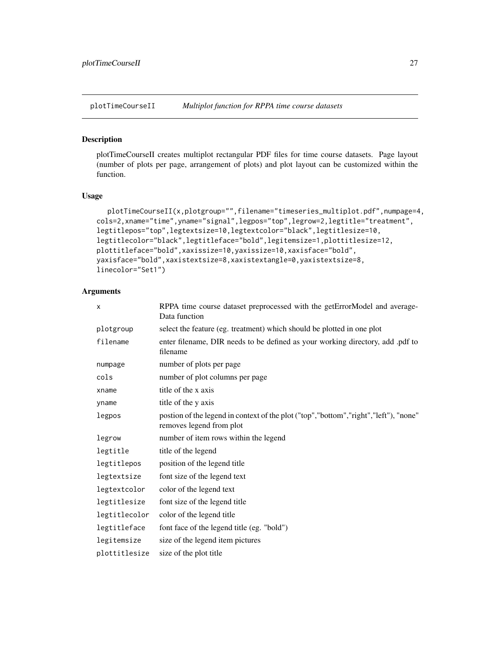<span id="page-26-0"></span>

plotTimeCourseII creates multiplot rectangular PDF files for time course datasets. Page layout (number of plots per page, arrangement of plots) and plot layout can be customized within the function.

#### Usage

```
plotTimeCourseII(x,plotgroup="",filename="timeseries_multiplot.pdf",numpage=4,
cols=2,xname="time",yname="signal",legpos="top",legrow=2,legtitle="treatment",
legtitlepos="top",legtextsize=10,legtextcolor="black",legtitlesize=10,
legtitlecolor="black",legtitleface="bold",legitemsize=1,plottitlesize=12,
plottitleface="bold",xaxissize=10,yaxissize=10,xaxisface="bold",
yaxisface="bold",xaxistextsize=8,xaxistextangle=0,yaxistextsize=8,
linecolor="Set1")
```
### Arguments

| X             | RPPA time course dataset preprocessed with the getErrorModel and average-<br>Data function                       |
|---------------|------------------------------------------------------------------------------------------------------------------|
| plotgroup     | select the feature (eg. treatment) which should be plotted in one plot                                           |
| filename      | enter filename, DIR needs to be defined as your working directory, add .pdf to<br>filename                       |
| numpage       | number of plots per page                                                                                         |
| cols          | number of plot columns per page                                                                                  |
| xname         | title of the x axis                                                                                              |
| yname         | title of the y axis                                                                                              |
| legpos        | postion of the legend in context of the plot ("top","bottom","right","left"), "none"<br>removes legend from plot |
| legrow        | number of item rows within the legend                                                                            |
| legtitle      | title of the legend                                                                                              |
| legtitlepos   | position of the legend title                                                                                     |
| legtextsize   | font size of the legend text                                                                                     |
| legtextcolor  | color of the legend text                                                                                         |
| legtitlesize  | font size of the legend title                                                                                    |
| legtitlecolor | color of the legend title                                                                                        |
| legtitleface  | font face of the legend title (eg. "bold")                                                                       |
| legitemsize   | size of the legend item pictures                                                                                 |
| plottitlesize | size of the plot title                                                                                           |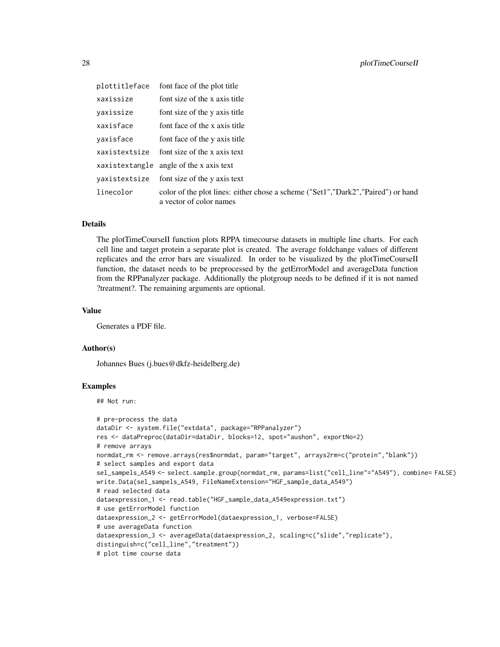| plottitleface | font face of the plot title                                                                                   |
|---------------|---------------------------------------------------------------------------------------------------------------|
| xaxissize     | font size of the x axis title                                                                                 |
| yaxissize     | font size of the y axis title                                                                                 |
| xaxisface     | font face of the x axis title                                                                                 |
| yaxisface     | font face of the y axis title                                                                                 |
| xaxistextsize | font size of the x axis text                                                                                  |
|               | xaxistextangle angle of the x axis text                                                                       |
|               | yaxistextsize font size of the y axis text                                                                    |
| linecolor     | color of the plot lines: either chose a scheme ("Set1", "Dark2", "Paired") or hand<br>a vector of color names |

#### Details

The plotTimeCourseII function plots RPPA timecourse datasets in multiple line charts. For each cell line and target protein a separate plot is created. The average foldchange values of different replicates and the error bars are visualized. In order to be visualized by the plotTimeCourseII function, the dataset needs to be preprocessed by the getErrorModel and averageData function from the RPPanalyzer package. Additionally the plotgroup needs to be defined if it is not named ?treatment?. The remaining arguments are optional.

#### Value

Generates a PDF file.

#### Author(s)

Johannes Bues (j.bues@dkfz-heidelberg.de)

### Examples

## Not run:

```
# pre-process the data
dataDir <- system.file("extdata", package="RPPanalyzer")
res <- dataPreproc(dataDir=dataDir, blocks=12, spot="aushon", exportNo=2)
# remove arrays
normdat_rm <- remove.arrays(res$normdat, param="target", arrays2rm=c("protein","blank"))
# select samples and export data
sel_sampels_A549 <- select.sample.group(normdat_rm, params=list("cell_line"="A549"), combine= FALSE)
write.Data(sel_sampels_A549, FileNameExtension="HGF_sample_data_A549")
# read selected data
dataexpression_1 <- read.table("HGF_sample_data_A549expression.txt")
# use getErrorModel function
dataexpression_2 <- getErrorModel(dataexpression_1, verbose=FALSE)
# use averageData function
dataexpression_3 <- averageData(dataexpression_2, scaling=c("slide","replicate"),
distinguish=c("cell_line","treatment"))
# plot time course data
```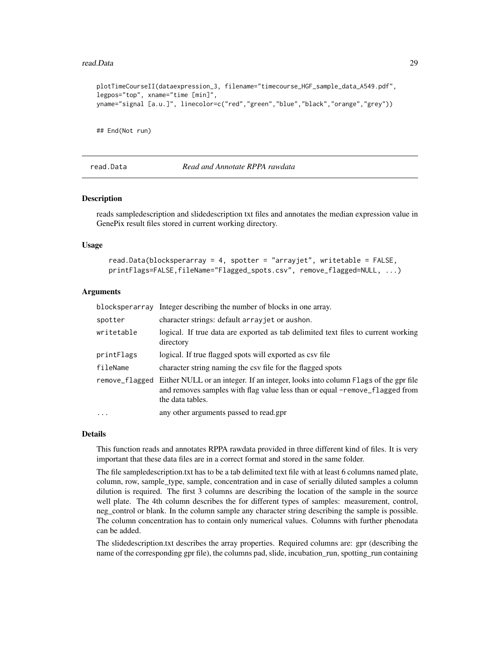#### <span id="page-28-0"></span>read.Data 29

```
plotTimeCourseII(dataexpression_3, filename="timecourse_HGF_sample_data_A549.pdf",
legpos="top", xname="time [min]",
yname="signal [a.u.]", linecolor=c("red","green","blue","black","orange","grey"))
```
## End(Not run)

<span id="page-28-1"></span>read.Data *Read and Annotate RPPA rawdata*

#### Description

reads sampledescription and slidedescription txt files and annotates the median expression value in GenePix result files stored in current working directory.

#### Usage

```
read.Data(blocksperarray = 4, spotter = "arrayjet", writetable = FALSE,
printFlags=FALSE,fileName="Flagged_spots.csv", remove_flagged=NULL, ...)
```
### Arguments

|                | blocksperarray Integer describing the number of blocks in one array.                                                                                                                 |  |
|----------------|--------------------------------------------------------------------------------------------------------------------------------------------------------------------------------------|--|
| spotter        | character strings: default arrayjet or aushon.                                                                                                                                       |  |
| writetable     | logical. If true data are exported as tab delimited text files to current working<br>directory                                                                                       |  |
| printFlags     | logical. If true flagged spots will exported as csv file                                                                                                                             |  |
| fileName       | character string naming the csy file for the flagged spots                                                                                                                           |  |
| remove_flagged | Either NULL or an integer. If an integer, looks into column Flags of the gpr file<br>and removes samples with flag value less than or equal -remove_flagged from<br>the data tables. |  |
| $\ddotsc$      | any other arguments passed to read.gpr                                                                                                                                               |  |

#### Details

This function reads and annotates RPPA rawdata provided in three different kind of files. It is very important that these data files are in a correct format and stored in the same folder.

The file sampledescription.txt has to be a tab delimited text file with at least 6 columns named plate, column, row, sample\_type, sample, concentration and in case of serially diluted samples a column dilution is required. The first 3 columns are describing the location of the sample in the source well plate. The 4th column describes the for different types of samples: measurement, control, neg\_control or blank. In the column sample any character string describing the sample is possible. The column concentration has to contain only numerical values. Columns with further phenodata can be added.

The slidedescription.txt describes the array properties. Required columns are: gpr (describing the name of the corresponding gpr file), the columns pad, slide, incubation\_run, spotting\_run containing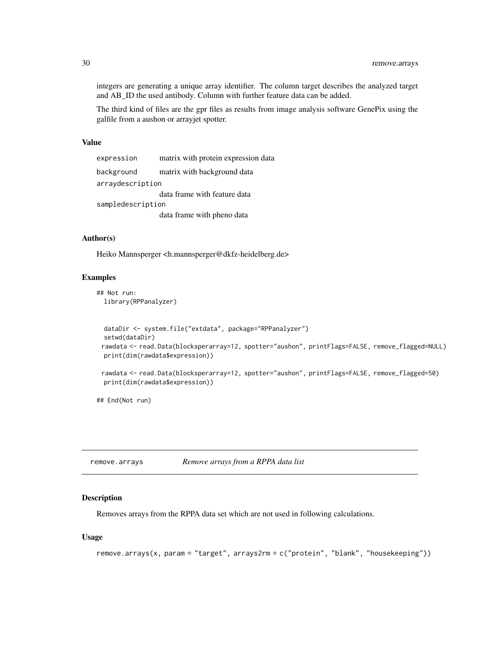integers are generating a unique array identifier. The column target describes the analyzed target and AB\_ID the used antibody. Column with further feature data can be added.

The third kind of files are the gpr files as results from image analysis software GenePix using the galfile from a aushon or arrayjet spotter.

#### Value

| expression        | matrix with protein expression data |  |
|-------------------|-------------------------------------|--|
| background        | matrix with background data         |  |
| arraydescription  |                                     |  |
|                   | data frame with feature data        |  |
| sampledescription |                                     |  |
|                   | data frame with pheno data          |  |

### Author(s)

Heiko Mannsperger <h.mannsperger@dkfz-heidelberg.de>

#### Examples

```
## Not run:
 library(RPPanalyzer)
```

```
dataDir <- system.file("extdata", package="RPPanalyzer")
setwd(dataDir)
rawdata <- read.Data(blocksperarray=12, spotter="aushon", printFlags=FALSE, remove_flagged=NULL)
print(dim(rawdata$expression))
```

```
rawdata <- read.Data(blocksperarray=12, spotter="aushon", printFlags=FALSE, remove_flagged=50)
print(dim(rawdata$expression))
```
## End(Not run)

remove.arrays *Remove arrays from a RPPA data list*

### Description

Removes arrays from the RPPA data set which are not used in following calculations.

### Usage

```
remove.arrays(x, param = "target", arrays2rm = c("protein", "blank", "housekeeping"))
```
<span id="page-29-0"></span>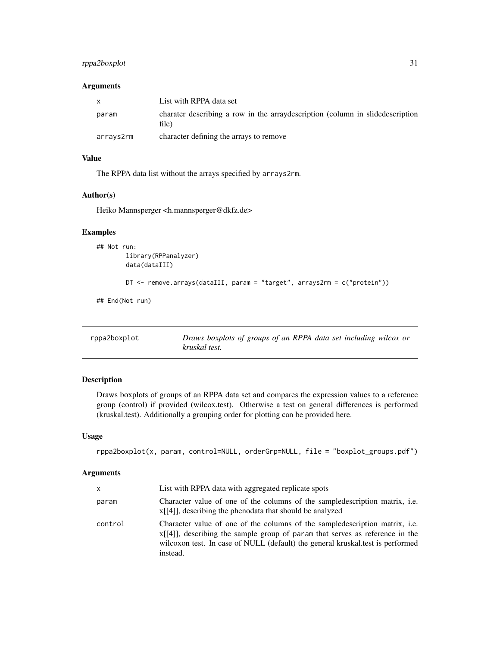### <span id="page-30-0"></span>rppa2boxplot 31

### Arguments

| $\mathsf{x}$ | List with RPPA data set                                                                  |
|--------------|------------------------------------------------------------------------------------------|
| param        | charater describing a row in the array description (column in slide description<br>file) |
| arrays2rm    | character defining the arrays to remove                                                  |

### Value

The RPPA data list without the arrays specified by arrays2rm.

### Author(s)

Heiko Mannsperger <h.mannsperger@dkfz.de>

### Examples

```
## Not run:
       library(RPPanalyzer)
        data(dataIII)
```
DT <- remove.arrays(dataIII, param = "target", arrays2rm = c("protein"))

## End(Not run)

rppa2boxplot *Draws boxplots of groups of an RPPA data set including wilcox or kruskal test.*

### Description

Draws boxplots of groups of an RPPA data set and compares the expression values to a reference group (control) if provided (wilcox.test). Otherwise a test on general differences is performed (kruskal.test). Additionally a grouping order for plotting can be provided here.

### Usage

```
rppa2boxplot(x, param, control=NULL, orderGrp=NULL, file = "boxplot_groups.pdf")
```
### Arguments

| x       | List with RPPA data with aggregated replicate spots                                                                                                                                                                                                           |
|---------|---------------------------------------------------------------------------------------------------------------------------------------------------------------------------------------------------------------------------------------------------------------|
| param   | Character value of one of the columns of the sampled escription matrix, i.e.<br>$x[[4]]$ , describing the phenodata that should be analyzed                                                                                                                   |
| control | Character value of one of the columns of the sampled escription matrix, i.e.<br>$x[[4]]$ , describing the sample group of param that serves as reference in the<br>wilcoxon test. In case of NULL (default) the general kruskal.test is performed<br>instead. |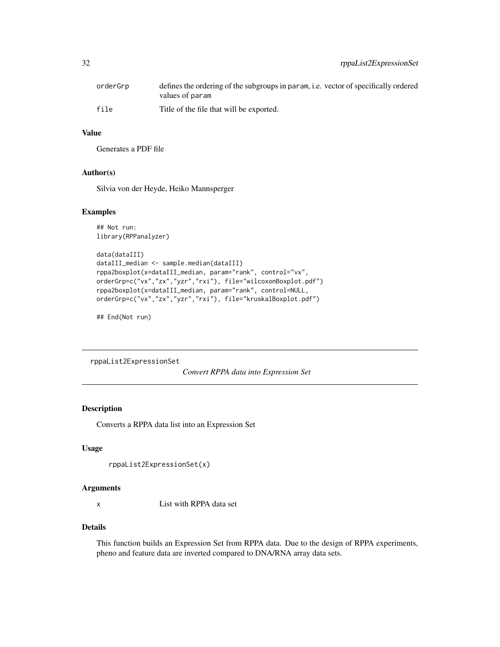<span id="page-31-0"></span>

| orderGrp | defines the ordering of the subgroups in param, i.e. vector of specifically ordered<br>values of param |
|----------|--------------------------------------------------------------------------------------------------------|
| file     | Title of the file that will be exported.                                                               |

### Value

Generates a PDF file

#### Author(s)

Silvia von der Heyde, Heiko Mannsperger

#### Examples

```
## Not run:
library(RPPanalyzer)
```

```
data(dataIII)
dataIII_median <- sample.median(dataIII)
rppa2boxplot(x=dataIII_median, param="rank", control="vx",
orderGrp=c("vx","zx","yzr","rxi"), file="wilcoxonBoxplot.pdf")
rppa2boxplot(x=dataIII_median, param="rank", control=NULL,
orderGrp=c("vx","zx","yzr","rxi"), file="kruskalBoxplot.pdf")
```
## End(Not run)

rppaList2ExpressionSet

*Convert RPPA data into Expression Set*

### Description

Converts a RPPA data list into an Expression Set

#### Usage

```
rppaList2ExpressionSet(x)
```
#### Arguments

x List with RPPA data set

### Details

This function builds an Expression Set from RPPA data. Due to the design of RPPA experiments, pheno and feature data are inverted compared to DNA/RNA array data sets.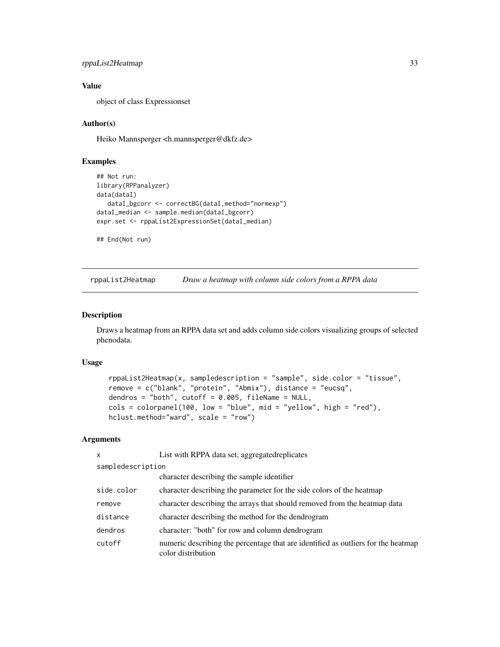```
rppaList2Heatmap 33
```
### Value

object of class Expressionset

### Author(s)

Heiko Mannsperger <h.mannsperger@dkfz.de>

### Examples

```
## Not run:
library(RPPanalyzer)
data(dataI)
   dataI_bgcorr <- correctBG(dataI,method="normexp")
dataI_median <- sample.median(dataI_bgcorr)
expr.set <- rppaList2ExpressionSet(dataI_median)
```
## End(Not run)

rppaList2Heatmap *Draw a heatmap with column side colors from a RPPA data*

### Description

Draws a heatmap from an RPPA data set and adds column side colors visualizing groups of selected phenodata.

#### Usage

```
rppaList2Heatmap(x, sampledescription = "sample", side.color = "tissue",
remove = c("blank", "protein", "Abmix"), distance = "eucsq",
dendros = "both", cutoff = 0.005, fileName = NULL,
cols = colorpanel(100, low = "blue", mid = "yellow", high = "red"),hclust.method="ward", scale = "row")
```
### Arguments

| $\mathsf{x}$      | List with RPPA data set, aggregated replicates                                                          |  |
|-------------------|---------------------------------------------------------------------------------------------------------|--|
| sampledescription |                                                                                                         |  |
|                   | character describing the sample identifier                                                              |  |
| side.color        | character describing the parameter for the side colors of the heatmap                                   |  |
| remove            | character describing the arrays that should removed from the heatmap data                               |  |
| distance          | character describing the method for the dendrogram                                                      |  |
| dendros           | character: "both" for row and column dendrogram                                                         |  |
| cutoff            | numeric describing the percentage that are identified as outliers for the heatmap<br>color distribution |  |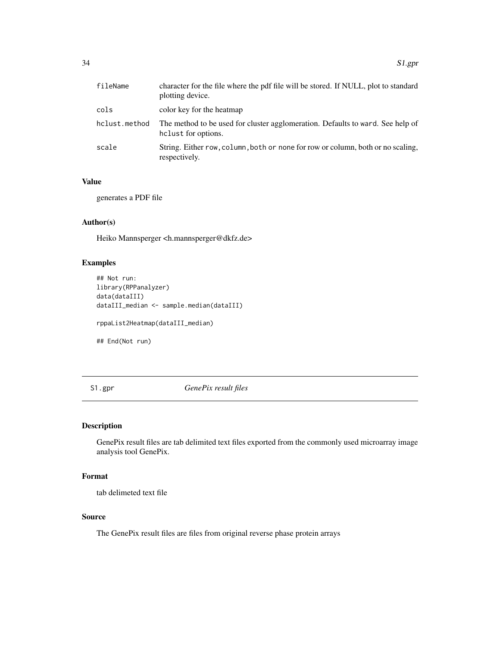<span id="page-33-0"></span>

| fileName      | character for the file where the pdf file will be stored. If NULL, plot to standard<br>plotting device. |
|---------------|---------------------------------------------------------------------------------------------------------|
| cols          | color key for the heatmap                                                                               |
| hclust.method | The method to be used for cluster agglomeration. Defaults to ward. See help of<br>helust for options.   |
| scale         | String. Either row, column, both or none for row or column, both or no scaling,<br>respectively.        |

### Value

generates a PDF file

### Author(s)

Heiko Mannsperger <h.mannsperger@dkfz.de>

### Examples

```
## Not run:
library(RPPanalyzer)
data(dataIII)
dataIII_median <- sample.median(dataIII)
rppaList2Heatmap(dataIII_median)
```
## End(Not run)

S1.gpr *GenePix result files*

### Description

GenePix result files are tab delimited text files exported from the commonly used microarray image analysis tool GenePix.

### Format

tab delimeted text file

### Source

The GenePix result files are files from original reverse phase protein arrays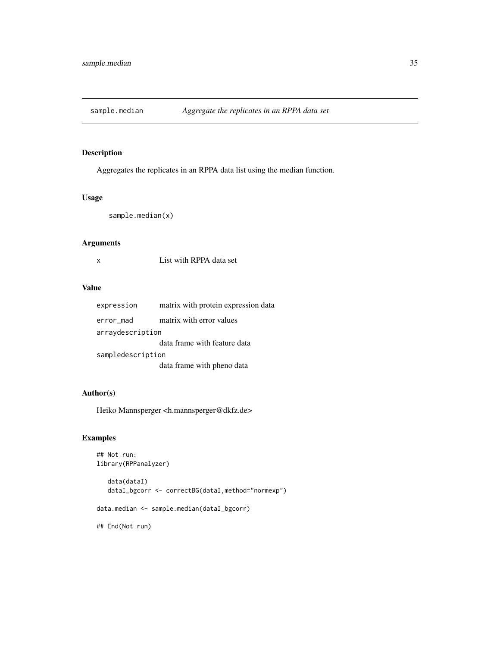<span id="page-34-0"></span>

Aggregates the replicates in an RPPA data list using the median function.

### Usage

sample.median(x)

### Arguments

x List with RPPA data set

### Value

| expression        | matrix with protein expression data |  |
|-------------------|-------------------------------------|--|
| error_mad         | matrix with error values            |  |
| arraydescription  |                                     |  |
|                   | data frame with feature data        |  |
| sampledescription |                                     |  |
|                   | data frame with pheno data          |  |

### Author(s)

Heiko Mannsperger <h.mannsperger@dkfz.de>

### Examples

```
## Not run:
library(RPPanalyzer)
```
data(dataI) dataI\_bgcorr <- correctBG(dataI,method="normexp") data.median <- sample.median(dataI\_bgcorr) ## End(Not run)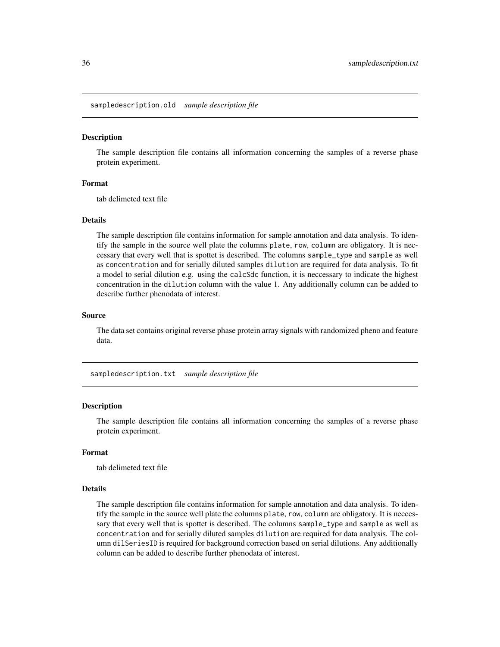<span id="page-35-0"></span>sampledescription.old *sample description file*

#### Description

The sample description file contains all information concerning the samples of a reverse phase protein experiment.

### Format

tab delimeted text file

### Details

The sample description file contains information for sample annotation and data analysis. To identify the sample in the source well plate the columns plate, row, column are obligatory. It is neccessary that every well that is spottet is described. The columns sample\_type and sample as well as concentration and for serially diluted samples dilution are required for data analysis. To fit a model to serial dilution e.g. using the calcSdc function, it is neccessary to indicate the highest concentration in the dilution column with the value 1. Any additionally column can be added to describe further phenodata of interest.

#### Source

The data set contains original reverse phase protein array signals with randomized pheno and feature data.

sampledescription.txt *sample description file*

#### **Description**

The sample description file contains all information concerning the samples of a reverse phase protein experiment.

#### Format

tab delimeted text file

#### Details

The sample description file contains information for sample annotation and data analysis. To identify the sample in the source well plate the columns plate, row, column are obligatory. It is neccessary that every well that is spottet is described. The columns sample\_type and sample as well as concentration and for serially diluted samples dilution are required for data analysis. The column dilSeriesID is required for background correction based on serial dilutions. Any additionally column can be added to describe further phenodata of interest.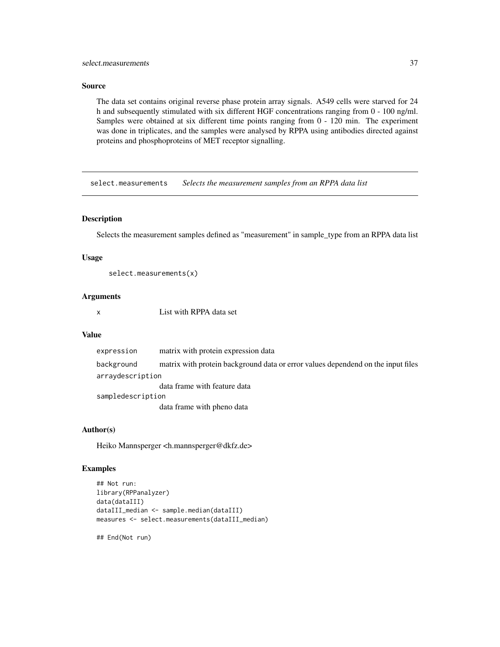### <span id="page-36-0"></span>select.measurements 37

### Source

The data set contains original reverse phase protein array signals. A549 cells were starved for 24 h and subsequently stimulated with six different HGF concentrations ranging from 0 - 100 ng/ml. Samples were obtained at six different time points ranging from 0 - 120 min. The experiment was done in triplicates, and the samples were analysed by RPPA using antibodies directed against proteins and phosphoproteins of MET receptor signalling.

select.measurements *Selects the measurement samples from an RPPA data list*

#### Description

Selects the measurement samples defined as "measurement" in sample\_type from an RPPA data list

#### Usage

```
select.measurements(x)
```
### Arguments

x List with RPPA data set

### Value

| expression        | matrix with protein expression data                                              |  |
|-------------------|----------------------------------------------------------------------------------|--|
| background        | matrix with protein background data or error values dependend on the input files |  |
| arraydescription  |                                                                                  |  |
|                   | data frame with feature data                                                     |  |
| sampledescription |                                                                                  |  |
|                   | data frame with pheno data                                                       |  |

### Author(s)

Heiko Mannsperger <h.mannsperger@dkfz.de>

### Examples

```
## Not run:
library(RPPanalyzer)
data(dataIII)
dataIII_median <- sample.median(dataIII)
measures <- select.measurements(dataIII_median)
```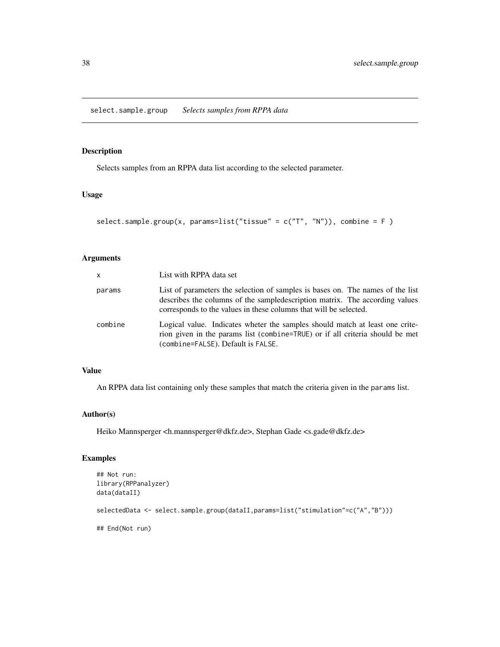<span id="page-37-0"></span>Selects samples from an RPPA data list according to the selected parameter.

### Usage

```
select.sample.group(x, params=list("tissue" = c("T", "N")), combine = F)
```
### Arguments

| $\mathsf{x}$ | List with RPPA data set                                                                                                                                                                                                             |
|--------------|-------------------------------------------------------------------------------------------------------------------------------------------------------------------------------------------------------------------------------------|
| params       | List of parameters the selection of samples is bases on. The names of the list<br>describes the columns of the sampled escription matrix. The according values<br>corresponds to the values in these columns that will be selected. |
| combine      | Logical value. Indicates wheter the samples should match at least one crite-<br>rion given in the params list (combine=TRUE) or if all criteria should be met<br>(combine=FALSE). Default is FALSE.                                 |

### Value

An RPPA data list containing only these samples that match the criteria given in the params list.

### Author(s)

Heiko Mannsperger <h.mannsperger@dkfz.de>, Stephan Gade <s.gade@dkfz.de>

### Examples

```
## Not run:
library(RPPanalyzer)
data(dataII)
selectedData <- select.sample.group(dataII,params=list("stimulation"=c("A","B")))
## End(Not run)
```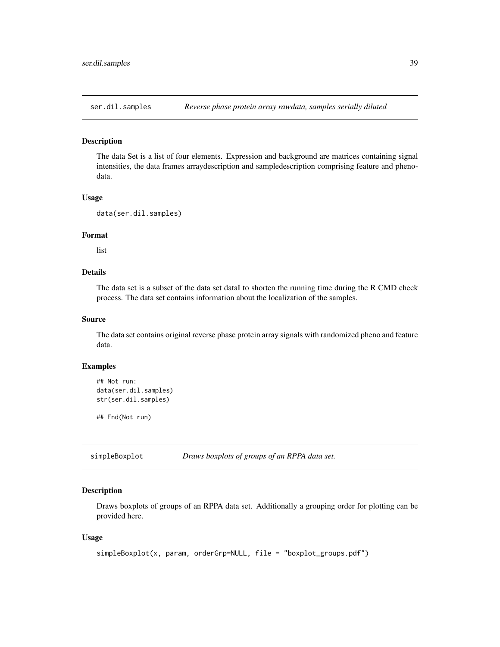<span id="page-38-0"></span>The data Set is a list of four elements. Expression and background are matrices containing signal intensities, the data frames arraydescription and sampledescription comprising feature and phenodata.

### Usage

```
data(ser.dil.samples)
```
#### Format

list

### Details

The data set is a subset of the data set dataI to shorten the running time during the R CMD check process. The data set contains information about the localization of the samples.

### Source

The data set contains original reverse phase protein array signals with randomized pheno and feature data.

#### Examples

```
## Not run:
data(ser.dil.samples)
str(ser.dil.samples)
```
## End(Not run)

simpleBoxplot *Draws boxplots of groups of an RPPA data set.*

### Description

Draws boxplots of groups of an RPPA data set. Additionally a grouping order for plotting can be provided here.

#### Usage

```
simpleBoxplot(x, param, orderGrp=NULL, file = "boxplot_groups.pdf")
```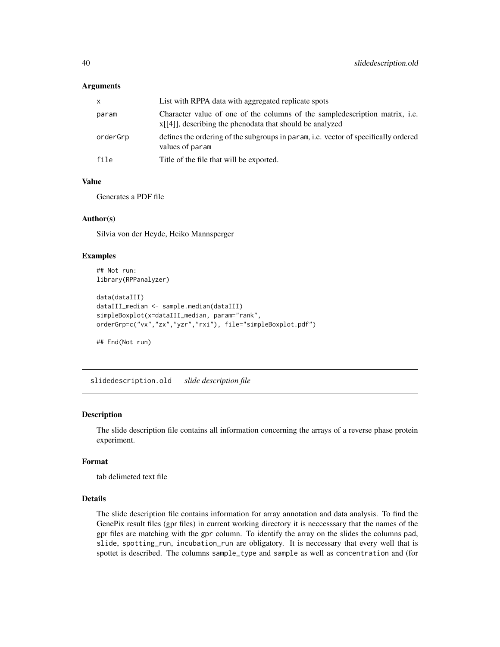#### <span id="page-39-0"></span>**Arguments**

| x        | List with RPPA data with aggregated replicate spots                                                                                         |
|----------|---------------------------------------------------------------------------------------------------------------------------------------------|
| param    | Character value of one of the columns of the sampled escription matrix, i.e.<br>$x[[4]]$ , describing the phenodata that should be analyzed |
| orderGrp | defines the ordering of the subgroups in param, i.e. vector of specifically ordered<br>values of param                                      |
| file     | Title of the file that will be exported.                                                                                                    |

#### Value

Generates a PDF file

#### Author(s)

Silvia von der Heyde, Heiko Mannsperger

### Examples

```
## Not run:
library(RPPanalyzer)
data(dataIII)
dataIII_median <- sample.median(dataIII)
simpleBoxplot(x=dataIII_median, param="rank",
orderGrp=c("vx","zx","yzr","rxi"), file="simpleBoxplot.pdf")
## End(Not run)
```
slidedescription.old *slide description file*

### Description

The slide description file contains all information concerning the arrays of a reverse phase protein experiment.

#### Format

tab delimeted text file

### Details

The slide description file contains information for array annotation and data analysis. To find the GenePix result files (gpr files) in current working directory it is neccesssary that the names of the gpr files are matching with the gpr column. To identify the array on the slides the columns pad, slide, spotting\_run, incubation\_run are obligatory. It is neccessary that every well that is spottet is described. The columns sample\_type and sample as well as concentration and (for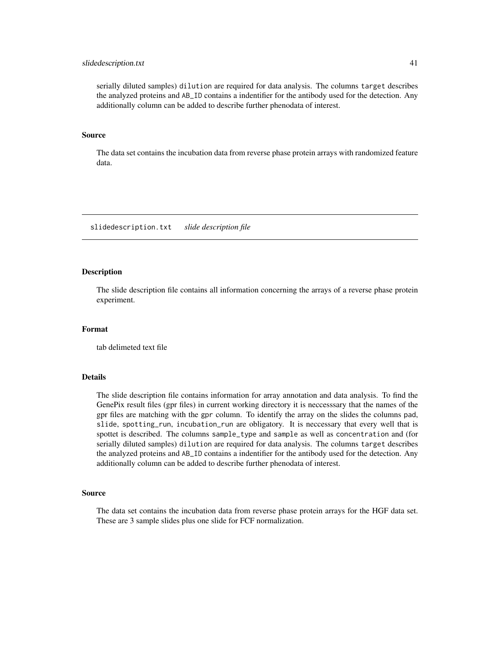#### <span id="page-40-0"></span>slidedescription.txt 41

serially diluted samples) dilution are required for data analysis. The columns target describes the analyzed proteins and AB\_ID contains a indentifier for the antibody used for the detection. Any additionally column can be added to describe further phenodata of interest.

#### Source

The data set contains the incubation data from reverse phase protein arrays with randomized feature data.

slidedescription.txt *slide description file*

#### **Description**

The slide description file contains all information concerning the arrays of a reverse phase protein experiment.

#### Format

tab delimeted text file

#### Details

The slide description file contains information for array annotation and data analysis. To find the GenePix result files (gpr files) in current working directory it is neccesssary that the names of the gpr files are matching with the gpr column. To identify the array on the slides the columns pad, slide, spotting\_run, incubation\_run are obligatory. It is neccessary that every well that is spottet is described. The columns sample\_type and sample as well as concentration and (for serially diluted samples) dilution are required for data analysis. The columns target describes the analyzed proteins and AB\_ID contains a indentifier for the antibody used for the detection. Any additionally column can be added to describe further phenodata of interest.

#### Source

The data set contains the incubation data from reverse phase protein arrays for the HGF data set. These are 3 sample slides plus one slide for FCF normalization.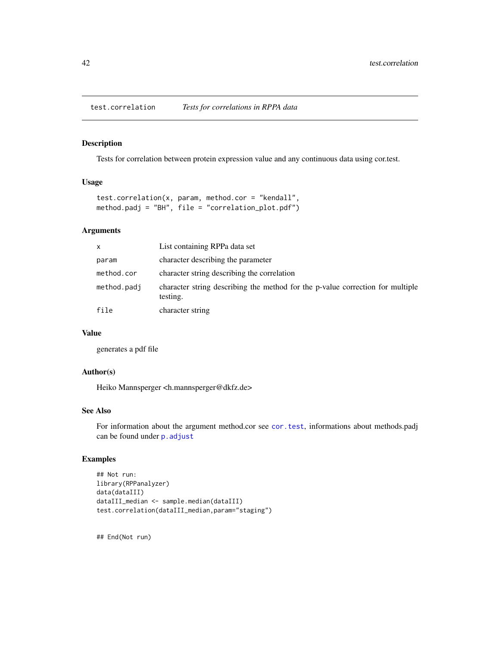<span id="page-41-0"></span>test.correlation *Tests for correlations in RPPA data*

### Description

Tests for correlation between protein expression value and any continuous data using cor.test.

#### Usage

```
test.correlation(x, param, method.cor = "kendall",
method.padj = "BH", file = "correlation_plot.pdf")
```
#### Arguments

| X           | List containing RPPa data set                                                              |
|-------------|--------------------------------------------------------------------------------------------|
| param       | character describing the parameter                                                         |
| method.cor  | character string describing the correlation                                                |
| method.padj | character string describing the method for the p-value correction for multiple<br>testing. |
| file        | character string                                                                           |

### Value

generates a pdf file

### Author(s)

Heiko Mannsperger <h.mannsperger@dkfz.de>

### See Also

For information about the argument method.cor see [cor.test](#page-0-0), informations about methods.padj can be found under [p.adjust](#page-0-0)

### Examples

```
## Not run:
library(RPPanalyzer)
data(dataIII)
dataIII_median <- sample.median(dataIII)
test.correlation(dataIII_median,param="staging")
```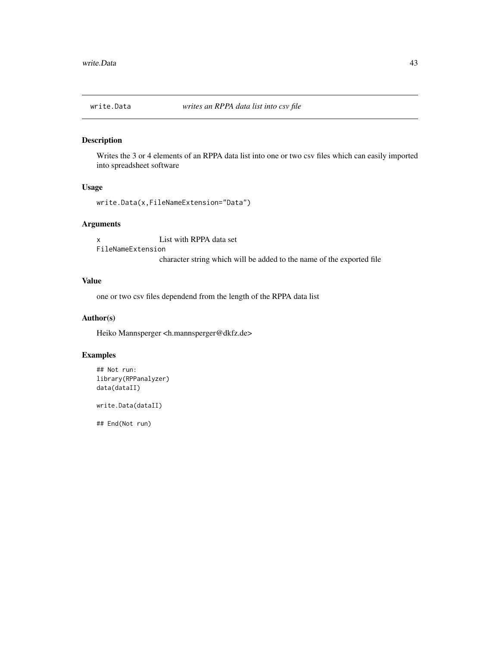<span id="page-42-1"></span><span id="page-42-0"></span>

Writes the 3 or 4 elements of an RPPA data list into one or two csv files which can easily imported into spreadsheet software

#### Usage

```
write.Data(x,FileNameExtension="Data")
```
### Arguments

x List with RPPA data set FileNameExtension

## character string which will be added to the name of the exported file

### Value

one or two csv files dependend from the length of the RPPA data list

#### Author(s)

Heiko Mannsperger <h.mannsperger@dkfz.de>

### Examples

```
## Not run:
library(RPPanalyzer)
data(dataII)
```
write.Data(dataII)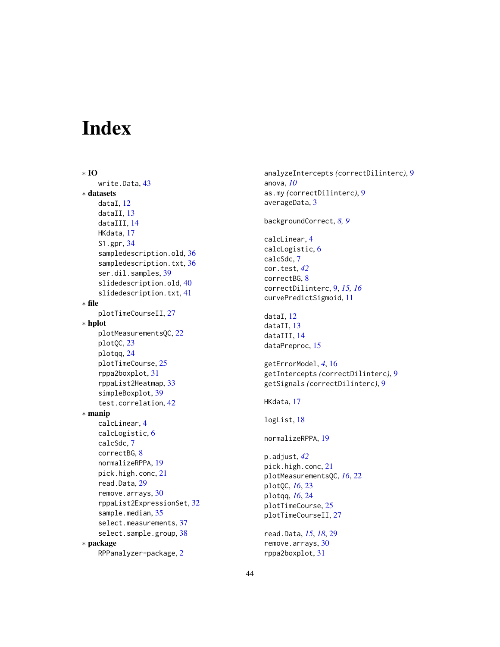# <span id="page-43-0"></span>Index

∗ IO write.Data, [43](#page-42-0) ∗ datasets dataI, [12](#page-11-0) dataII, [13](#page-12-0) dataIII, [14](#page-13-0) HKdata, [17](#page-16-0) S1.gpr, [34](#page-33-0) sampledescription.old, [36](#page-35-0) sampledescription.txt, [36](#page-35-0) ser.dil.samples, [39](#page-38-0) slidedescription.old, [40](#page-39-0) slidedescription.txt, [41](#page-40-0) ∗ file plotTimeCourseII, [27](#page-26-0) ∗ hplot plotMeasurementsQC, [22](#page-21-0) plotQC, [23](#page-22-0) plotqq, [24](#page-23-0) plotTimeCourse, [25](#page-24-0) rppa2boxplot, [31](#page-30-0) rppaList2Heatmap, [33](#page-32-0) simpleBoxplot, [39](#page-38-0) test.correlation, [42](#page-41-0) ∗ manip calcLinear, [4](#page-3-0) calcLogistic, [6](#page-5-0) calcSdc, [7](#page-6-0) correctBG, [8](#page-7-0) normalizeRPPA, [19](#page-18-0) pick.high.conc, [21](#page-20-0) read.Data, [29](#page-28-0) remove.arrays, [30](#page-29-0) rppaList2ExpressionSet, [32](#page-31-0) sample.median, [35](#page-34-0) select.measurements, [37](#page-36-0) select.sample.group, [38](#page-37-0) ∗ package RPPanalyzer-package, [2](#page-1-0)

analyzeIntercepts *(*correctDilinterc*)*, [9](#page-8-0) anova, *[10](#page-9-0)* as.my *(*correctDilinterc*)*, [9](#page-8-0) averageData, [3](#page-2-0) backgroundCorrect, *[8,](#page-7-0) [9](#page-8-0)* calcLinear, [4](#page-3-0) calcLogistic, [6](#page-5-0) calcSdc, [7](#page-6-0) cor.test, *[42](#page-41-0)* correctBG, [8](#page-7-0) correctDilinterc, [9,](#page-8-0) *[15,](#page-14-0) [16](#page-15-0)* curvePredictSigmoid, [11](#page-10-0) dataI, [12](#page-11-0) dataII, [13](#page-12-0) dataIII, [14](#page-13-0) dataPreproc, [15](#page-14-0) getErrorModel, *[4](#page-3-0)*, [16](#page-15-0) getIntercepts *(*correctDilinterc*)*, [9](#page-8-0) getSignals *(*correctDilinterc*)*, [9](#page-8-0) HKdata, [17](#page-16-0) logList, [18](#page-17-0) normalizeRPPA, [19](#page-18-0) p.adjust, *[42](#page-41-0)* pick.high.conc, [21](#page-20-0) plotMeasurementsQC, *[16](#page-15-0)*, [22](#page-21-0) plotQC, *[16](#page-15-0)*, [23](#page-22-0) plotqq, *[16](#page-15-0)*, [24](#page-23-0) plotTimeCourse, [25](#page-24-0) plotTimeCourseII, [27](#page-26-0) read.Data, *[15](#page-14-0)*, *[18](#page-17-0)*, [29](#page-28-0) remove.arrays, [30](#page-29-0) rppa2boxplot, [31](#page-30-0)